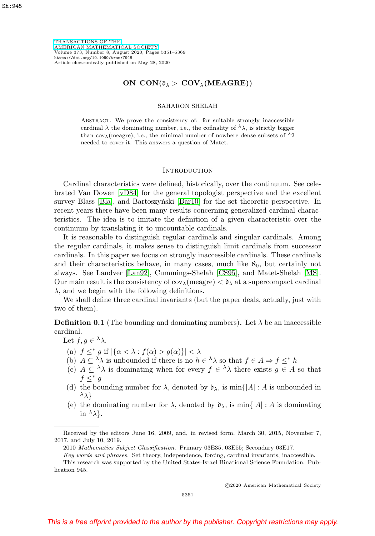[TRANSACTIONS OF THE](https://www.ams.org/tran/) [AMERICAN MATHEMATICAL SOCIETY](https://www.ams.org/tran/) Volume 373, Number 8, August 2020, Pages 5351–5369 <https://doi.org/10.1090/tran/7948> Article electronically published on May 28, 2020

# **ON CON(** $\delta_{\lambda}$  > **COV**<sub> $\lambda$ </sub>(MEAGRE))

### SAHARON SHELAH

Abstract. We prove the consistency of: for suitable strongly inaccessible cardinal  $\lambda$  the dominating number, i.e., the cofinality of  $\lambda \lambda$ , is strictly bigger than cov<sub> $\lambda$ </sub>(meagre), i.e., the minimal number of nowhere dense subsets of  $\lambda_2$ needed to cover it. This answers a question of Matet.

#### **INTRODUCTION**

Cardinal characteristics were defined, historically, over the continuum. See celebrated Van Dowen [\[vD84\]](#page-18-0) for the general topologist perspective and the excellent survey Blass [\[Bla\]](#page-17-0), and Bartoszynski [\[Bar10\]](#page-17-1) for the set theoretic perspective. In recent years there have been many results concerning generalized cardinal characteristics. The idea is to imitate the definition of a given characteristic over the continuum by translating it to uncountable cardinals.

It is reasonable to distinguish regular cardinals and singular cardinals. Among the regular cardinals, it makes sense to distinguish limit cardinals from successor cardinals. In this paper we focus on strongly inaccessible cardinals. These cardinals and their characteristics behave, in many cases, much like  $\aleph_0$ , but certainly not always. See Landver [\[Lan92\]](#page-18-1), Cummings-Shelah [\[CS95\]](#page-18-2), and Matet-Shelah [\[MS\]](#page-18-3). Our main result is the consistency of  $cov_{\lambda}$ (meagre)  $< \mathfrak{d}_{\lambda}$  at a supercompact cardinal  $\lambda$ , and we begin with the following definitions.

We shall define three cardinal invariants (but the paper deals, actually, just with two of them).

<span id="page-0-0"></span>**Definition 0.1** (The bounding and dominating numbers). Let  $\lambda$  be an inaccessible cardinal.

Let  $f,g \in {}^{\lambda}\lambda$ .

- (a)  $f \leq^* g$  if  $|\{\alpha < \lambda : f(\alpha) > g(\alpha)\}| < \lambda$
- (b)  $A \subseteq \lambda \lambda$  is unbounded if there is no  $h \in \lambda \lambda$  so that  $f \in A \Rightarrow f \leq^* h$
- (c)  $A \subseteq \lambda \lambda$  is dominating when for every  $f \in \lambda \lambda$  there exists  $g \in A$  so that  $f \leq^* g$
- (d) the bounding number for  $\lambda$ , denoted by  $\mathfrak{b}_{\lambda}$ , is min $\{ |A| : A$  is unbounded in  $\lambda$
- (e) the dominating number for  $\lambda$ , denoted by  $\mathfrak{d}_{\lambda}$ , is min{ $|A| : A$  is dominating in  $\lambda$ .

-c 2020 American Mathematical Society

Received by the editors June 16, 2009, and, in revised form, March 30, 2015, November 7, 2017, and July 10, 2019.

<sup>2010</sup> Mathematics Subject Classification. Primary 03E35, 03E55; Secondary 03E17.

Key words and phrases. Set theory, independence, forcing, cardinal invariants, inaccessible. This research was supported by the United States-Israel Binational Science Foundation. Pub-

lication 945.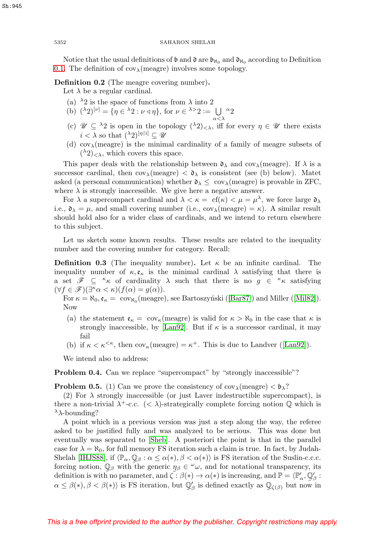Notice that the usual definitions of  $\mathfrak b$  and  $\mathfrak d$  are  $\mathfrak b_{\aleph_0}$  and  $\mathfrak d_{\aleph_0}$  according to Definition [0.1.](#page-0-0) The definition of  $cov_{\lambda}$ (meagre) involves some topology.

# **Definition 0.2** (The meagre covering number)**.**

Let  $\lambda$  be a regular cardinal.

- (a)  $\lambda$ 2 is the space of functions from  $\lambda$  into 2
- (b)  $({}^{\lambda}2)^{[\nu]} = {\eta \in {}^{\lambda}2 : \nu \triangleleft \eta }$ , for  $\nu \in {}^{\lambda >}2 := \bigcup {\alpha}2$
- (c)  $\mathscr{U} \subseteq {}^{\lambda}2$  is open in the topology  $({}^{\lambda}2)_{\leq \lambda}$ , iff for every  $\eta \in \mathscr{U}$  there exists  $i < \lambda$  so that  $({}^{\lambda}2)^{[\eta\restriction i]} \subseteq \mathscr{U}$
- (d)  $cov_{\lambda}$ (meagre) is the minimal cardinality of a family of meagre subsets of  $({}^{\lambda}2)_{\leq \lambda}$ , which covers this space.

This paper deals with the relationship between  $\mathfrak{d}_{\lambda}$  and cov<sub> $\lambda$ </sub> (meagre). If  $\lambda$  is a successor cardinal, then  $cov_{\lambda}$ (meagre)  $\langle \lambda \rangle$  is consistent (see (b) below). Matet asked (a personal communication) whether  $\mathfrak{d}_{\lambda} \leq \text{ cov}_{\lambda}$  (meagre) is provable in ZFC, where  $\lambda$  is strongly inaccessible. We give here a negative answer.

For  $\lambda$  a supercompact cardinal and  $\lambda < \kappa = c f(\kappa) < \mu = \mu^{\lambda}$ , we force large  $\mathfrak{d}_{\lambda}$ i.e.,  $\mathfrak{d}_{\lambda} = \mu$ , and small covering number (i.e.,  $cov_{\lambda}(\text{measure}) = \kappa$ ). A similar result should hold also for a wider class of cardinals, and we intend to return elsewhere to this subject.

Let us sketch some known results. These results are related to the inequality number and the covering number for category. Recall:

**Definition 0.3** (The inequality number). Let  $\kappa$  be an infinite cardinal. The inequality number of  $\kappa, \mathfrak{e}_{\kappa}$  is the minimal cardinal  $\lambda$  satisfying that there is a set  $\mathscr{F} \subseteq \kappa_{\kappa}$  of cardinality  $\lambda$  such that there is no  $g \in \kappa_{\kappa}$  satisfying  $(\forall f \in \mathscr{F})(\exists^{\kappa} \alpha < \kappa)(f(\alpha) = g(\alpha)).$ 

For  $\kappa = \aleph_0$ ,  $\mathfrak{e}_{\kappa} = \text{cov}_{\aleph_0}(\text{measure})$ , see Bartoszyński ([\[Bar87\]](#page-17-2)) and Miller ([\[Mil82\]](#page-18-4)). Now

- (a) the statement  $\mathfrak{e}_{\kappa} = \text{cov}_{\kappa}(\text{measure})$  is valid for  $\kappa > \aleph_0$  in the case that  $\kappa$  is strongly inaccessible, by [\[Lan92\]](#page-18-1). But if  $\kappa$  is a successor cardinal, it may fail
- (b) if  $\kappa < \kappa^{\leq \kappa}$ , then  $\text{cov}_{\kappa}(\text{measure}) = \kappa^+$ . This is due to Landver ([\[Lan92\]](#page-18-1)).

We intend also to address:

**Problem 0.4.** Can we replace "supercompact" by "strongly inaccessible"?

**Problem 0.5.** (1) Can we prove the consistency of  $cov_{\lambda}$ (meagre)  $\langle \phi_{\lambda} \rangle$ ?

(2) For  $\lambda$  strongly inaccessible (or just Laver indestructible supercompact), is there a non-trivial  $\lambda^+$ -c.c.  $(< \lambda)$ -strategically complete forcing notion  $\mathbb Q$  which is  $^{\lambda}$ λ-bounding?

A point which in a previous version was just a step along the way, the referee asked to be justified fully and was analyzed to be serious. This was done but eventually was separated to [\[Sheb\]](#page-18-5). A posteriori the point is that in the parallel case for  $\lambda = \aleph_0$ , for full memory FS iteration such a claim is true. In fact, by Judah-Shelah [\[IHJS88\]](#page-18-6), if  $\langle \mathbb{P}_{\alpha}, \mathbb{Q}_{\beta} : \alpha \leq \alpha(*), \beta < \alpha(*)\rangle$  is FS iteration of the Suslin-c.c.c. forcing notion,  $\mathbb{Q}_{\beta}$  with the generic  $\eta_{\beta} \in \omega$ , and for notational transparency, its definition is with no parameter, and  $\zeta : \beta(*) \to \alpha(*)$  is increasing, and  $\mathbb{P} = \langle \mathbb{P}' \, , \mathbb{Q}' \rangle$ . definition is with no parameter, and  $\zeta : \beta(*) \to \alpha(*)$  is increasing, and  $\mathbb{P} = \langle \mathbb{P}'_\alpha, \mathbb{Q}'_\beta :$  $\alpha \leq \beta(*)$ ,  $\beta < \beta(*)$  is FS iteration, but  $\mathbb{Q}'_{\beta}$  is defined exactly as  $\mathbb{Q}_{\zeta(\beta)}$  but now in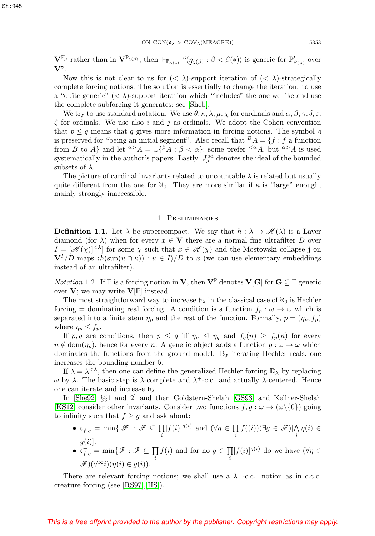$\mathbf{V}^{\mathbb{P}'_{\beta}}$  rather than in  $\mathbf{V}^{\mathbb{P}_{\zeta(\beta)}},$  then  $\Vdash_{\mathbb{P}_{\alpha(*)}}$  " $\langle \underline{\eta}$ "  $\eta_{\zeta(\beta)} : \beta < \beta(*)\rangle$  is generic for  $\mathbb{P}'_{\beta(*)}$  over **V**".

Now this is not clear to us for  $( $\lambda$ )-support iteration of  $( $\lambda$ )-strategy$$ complete forcing notions. The solution is essentially to change the iteration: to use a "quite generic"  $( $\lambda$ )-support iteration which "includes" the one we like and use$ the complete subforcing it generates; see [\[Sheb\]](#page-18-5).

We try to use standard notation. We use  $\theta$ ,  $\kappa$ ,  $\lambda$ ,  $\mu$ ,  $\chi$  for cardinals and  $\alpha$ ,  $\beta$ ,  $\gamma$ ,  $\delta$ ,  $\varepsilon$ ,  $\zeta$  for ordinals. We use also i and j as ordinals. We adopt the Cohen convention that  $p \leq q$  means that q gives more information in forcing notions. The symbol  $\triangleleft$ is preserved for "being an initial segment". Also recall that  $A = \{f : f \text{ a function}\}$ from B to A} and let  $\alpha > A = \bigcup \{ \beta A : \beta < \alpha \}$ ; some prefer  $\leq \alpha A$ , but  $\alpha > A$  is used systematically in the author's papers. Lastly,  $J_{\lambda}^{\rm bd}$  denotes the ideal of the bounded subsets of  $\lambda$ .

The picture of cardinal invariants related to uncountable  $\lambda$  is related but usually quite different from the one for  $\aleph_0$ . They are more similar if  $\kappa$  is "large" enough, mainly strongly inaccessible.

#### 1. Preliminaries

<span id="page-2-0"></span>**Definition 1.1.** Let  $\lambda$  be supercompact. We say that  $h : \lambda \to \mathcal{H}(\lambda)$  is a Laver diamond (for  $\lambda$ ) when for every  $x \in V$  there are a normal fine ultrafilter D over  $I = [\mathcal{H}(\chi)]^{<\lambda}$  for some  $\chi$  such that  $x \in \mathcal{H}(\chi)$  and the Mostowski collapse j on  $V^I/D$  maps  $\langle h(\sup(u \cap \kappa)) : u \in I \rangle/D$  to x (we can use elementary embeddings instead of an ultrafilter).

*Notation* 1.2. If  $\mathbb{P}$  is a forcing notion in **V**, then **V**<sup> $\mathbb{P}$  denotes **V**[**G**] for **G**  $\subset \mathbb{P}$  generic</sup> over  $V$ ; we may write  $V[\mathbb{P}]$  instead.

The most straightforward way to increase  $\mathfrak{b}_{\lambda}$  in the classical case of  $\aleph_0$  is Hechler forcing = dominating real forcing. A condition is a function  $f_p : \omega \to \omega$  which is separated into a finite stem  $\eta_p$  and the rest of the function. Formally,  $p = (\eta_p, f_p)$ where  $\eta_p \leq f_p$ .

If p, q are conditions, then  $p \leq q$  iff  $\eta_p \leq \eta_q$  and  $f_q(n) \geq f_p(n)$  for every  $n \notin \text{dom}(\eta_p)$ , hence for every n. A generic object adds a function  $g : \omega \to \omega$  which dominates the functions from the ground model. By iterating Hechler reals, one increases the bounding number b.

If  $\lambda = \lambda^{<\lambda}$ , then one can define the generalized Hechler forcing  $\mathbb{D}_{\lambda}$  by replacing  $ω$  by  $λ$ . The basic step is  $λ$ -complete and  $λ$ <sup>+</sup>-c.c. and actually  $λ$ -centered. Hence one can iterate and increase  $\mathfrak{b}_{\lambda}$ .

In [\[She92,](#page-18-7) §§1 and 2] and then Goldstern-Shelah [\[GS93\]](#page-18-8) and Kellner-Shelah [\[KS12\]](#page-18-9) consider other invariants. Consider two functions  $f,g : \omega \to (\omega \setminus \{0\})$  going to infinity such that  $f \ge g$  and ask about:

- $\mathfrak{c}_{f,g}^+ = \min\{|\mathscr{F}| : \mathscr{F} \subseteq \prod_i [f(i)]^{g(i)} \text{ and } (\forall \eta \in \prod_i f((i))(\exists g \in \mathscr{F})[\bigwedge_i \eta(i) \in$  $g(i)$ ].
- $\mathfrak{c}_{f,g}^- = \min\{\mathscr{F} : \mathscr{F} \subseteq \prod_i f(i) \text{ and for no } g \in \prod_i [f(i)]^{g(i)} \text{ do we have } (\forall \eta \in$  $\mathscr{F})(\forall^\infty i)(\eta(i) \in g(i)).$

There are relevant forcing notions; we shall use a  $\lambda^+$ -c.c. notion as in c.c.c. creature forcing (see [\[RS97\]](#page-18-10),[\[HS\]](#page-18-11)).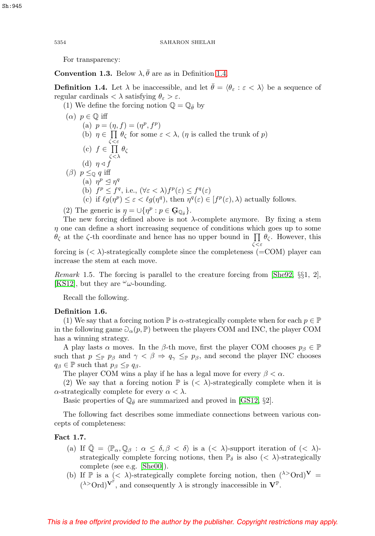For transparency:

**Convention 1.3.** Below  $\lambda$ ,  $\bar{\theta}$  are as in Definition [1.4.](#page-3-0)

<span id="page-3-0"></span>**Definition 1.4.** Let  $\lambda$  be inaccessible, and let  $\hat{\theta} = \langle \theta_{\varepsilon} : \varepsilon \langle \lambda \rangle$  be a sequence of regular cardinals  $\langle \lambda \rangle$  satisfying  $\theta_{\varepsilon} > \varepsilon$ .

(1) We define the forcing notion  $\mathbb{Q} = \mathbb{Q}_{\bar{\theta}}$  by

\n- (*α*) 
$$
p \in \mathbb{Q}
$$
 iff
\n- (a)  $p = (\eta, f) = (\eta^p, f^p)$
\n- (b)  $\eta \in \prod_{\zeta < \zeta \in \mathcal{E}} \theta_{\zeta}$  for some  $\varepsilon < \lambda$ ,  $(\eta$  is called the trunk of *p*)
\n- (c)  $f \in \prod_{\zeta < \lambda} \theta_{\zeta}$
\n- (d)  $\eta \triangleleft f$
\n- (*β*)  $p \leq_{\mathbb{Q}} q$  iff
\n- (a)  $\eta^p \leq \eta^q$
\n- (b)  $f^p \leq f^q$ , i.e.,  $(\forall \varepsilon < \lambda) f^p(\varepsilon) \leq f^q(\varepsilon)$
\n- (c) if  $\ell g(\eta^p) \leq \varepsilon < \ell g(\eta^q)$ , then  $\eta^q(\varepsilon) \in [f^p(\varepsilon), \lambda)$  actually follows.
\n

(2) The generic is  $\eta = \bigcup \{ \eta^p : p \in \mathbf{G}_{\mathbb{Q}_{\bar{\theta}}} \}.$ <br>The new forcing defined above is not

The new forcing defined above is not  $\lambda$ -complete anymore. By fixing a stem  $\eta$  one can define a short increasing sequence of conditions which goes up to some  $\theta_{\zeta}$  at the  $\zeta$ -th coordinate and hence has no upper bound in  $\prod \theta_{\zeta}$ . However, this ζ<ε forcing is  $( $\lambda$ )-strategy complete since the completeness (=COM) player can$ increase the stem at each move.

*Remark* 1.5. The forcing is parallel to the creature forcing from  $\text{[She92, §§1, 2]}$  $\text{[She92, §§1, 2]}$  $\text{[She92, §§1, 2]}$ , [\[KS12\]](#page-18-9), but they are  $\omega\omega$ -bounding.

Recall the following.

### <span id="page-3-1"></span>**Definition 1.6.**

(1) We say that a forcing notion  $\mathbb P$  is  $\alpha$ -strategically complete when for each  $p \in \mathbb P$ in the following game  $\mathcal{O}_{\alpha}(p, \mathbb{P})$  between the players COM and INC, the player COM has a winning strategy.

A play lasts  $\alpha$  moves. In the  $\beta$ -th move, first the player COM chooses  $p_{\beta} \in \mathbb{P}$ such that  $p \leq_{\mathbb{P}} p_{\beta}$  and  $\gamma < \beta \Rightarrow q_{\gamma} \leq_{\mathbb{P}} p_{\beta}$ , and second the player INC chooses  $q_\beta \in \mathbb{P}$  such that  $p_\beta \leq_{\mathbb{P}} q_\beta$ .

The player COM wins a play if he has a legal move for every  $\beta < \alpha$ .

(2) We say that a forcing notion  $\mathbb P$  is  $( $\lambda$ )-strategically complete when it is$  $\alpha$ -strategically complete for every  $\alpha < \lambda$ .

Basic properties of  $\mathbb{Q}_{\bar{\theta}}$  are summarized and proved in [\[GS12,](#page-18-12) §2].

The following fact describes some immediate connections between various concepts of completeness:

# <span id="page-3-2"></span>**Fact 1.7.**

- (a) If  $\overline{\mathbb{Q}} = \langle \mathbb{P}_{\alpha}, \mathbb{Q}_{\beta} : \alpha \leq \delta, \beta < \delta \rangle$  is a  $( $\lambda$ )-support iteration of  $( $\lambda$ )$$ strategically complete forcing notions, then  $\mathbb{P}_{\delta}$  is also  $(< \lambda)$ -strategically complete (see e.g. [\[She00\]](#page-18-13)).
- (b) If P is a  $( $\lambda$ )-strategically complete forcing notion, then  $(^{\lambda >}Ord)^{\mathbf{V}} =$$  $({}^{\lambda>}\text{Ord})^{\mathbf{V}^{\mathbb{P}}},$  and consequently  $\lambda$  is strongly inaccessible in  $\mathbf{V}^{\mathbb{P}}.$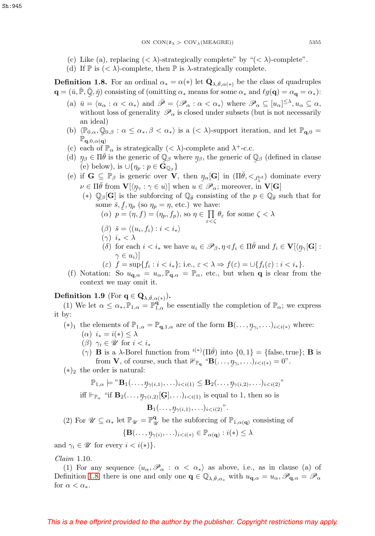- (c) Like (a), replacing  $( $\lambda$ )-strategically complete" by " $( $\lambda$ )-complete".$$
- (d) If  $\mathbb P$  is  $( $\lambda$ )-complete, then  $\mathbb P$  is  $\lambda$ -strategically complete.$

<span id="page-4-0"></span>**Definition 1.8.** For an ordinal  $\alpha_* = \alpha(*)$  let  $\mathbf{Q}_{\lambda,\bar{\theta},\alpha(*)}$  be the class of quadruples  $\mathbf{q} = (\bar{u}, \bar{\mathbb{P}}, \bar{\mathbb{Q}}, \bar{\eta})$  consisting of (omitting  $\alpha_*$  means for some  $\alpha_*$  and  $\ell g(\mathbf{q}) = \alpha_{\mathbf{q}} = \alpha_*$ ):

- (a)  $\bar{u} = \langle u_{\alpha} : \alpha < \alpha_* \rangle$  and  $\bar{\mathscr{P}} = \langle \mathscr{P}_{\alpha} : \alpha < \alpha_* \rangle$  where  $\mathscr{P}_{\alpha} \subseteq [u_{\alpha}]^{\leq \lambda}, u_{\alpha} \subseteq \alpha$ , without loss of generality  $\mathscr{P}_{\alpha}$  is closed under subsets (but is not necessarily an ideal)
- (b)  $\langle \mathbb{P}_{0,\alpha}, \mathbb{Q}_{0,\beta} : \alpha \leq \alpha_*, \beta < \alpha_* \rangle$  is a  $( $\lambda$ )-support iteration, and let  $\mathbb{P}_{q,0} =$$  $\mathbb{P}_{\mathbf{q},0,\alpha(\mathbf{q})}$
- (c) each of  $\mathbb{P}_{\alpha}$  is strategically  $( $\lambda$ )-complete and  $\lambda$ <sup>+</sup>-c.c.$
- (d)  $\eta_{\beta} \in \Pi \bar{\theta}$  is the generic of  $\mathbb{Q}_{\beta}$  where  $\eta_{\beta}$ , the generic of  $\mathbb{Q}_{\beta}$  (defined in clause  $\tilde{(\epsilon)}$  below), is  $\mathcal{L} \mathcal{L} \eta_{\alpha} : \eta \in \tilde{\mathbf{G}}_{\mathbb{Q}_{\alpha}}$ (e) below), is  $\cup \{\eta_p : p \in \mathbf{G}_{\mathbb{Q}_{\beta}}\}\$
- (e) if  $\mathbf{G} \subseteq \mathbb{P}_{\beta}$  is generic over **V**, then  $\eta_{\alpha}[\mathbf{G}]$  in  $(\Pi \overline{\theta}, \langle \mathcal{I}_{\lambda}^{\text{bd}})$  dominate every  $\mathcal{U} \in \Pi \overline{\theta}$  from  $\mathbf{V}[\ell]$  :  $\alpha \in \mathcal{U}$  when  $\mathcal{U} \in \mathcal{P}$  : moreover in  $\mathbf{V}[\mathbf{G}]$  $\nu \in \Pi \overline{\theta}$  from  $\mathbf{V}[\langle \eta_{\gamma} : \gamma \in u \rangle]$  when  $u \in \mathscr{P}_{\alpha}$ ; moreover, in  $\mathbf{V}[\mathbf{G}]$ 
	- (\*)  $\mathbb{Q}_{\beta}[\mathbf{G}]$  is the subforcing of  $\mathbb{Q}_{\bar{\theta}}$  consisting of the  $p \in \mathbb{Q}_{\bar{\theta}}$  such that for some  $\bar{s}$ ,  $f, p_{\infty}$  (so  $p_{\infty} = p$ , etc.) we have: some  $\bar{s}$ ,  $f$ ,  $\eta_p$  (so  $\eta_p = \eta$ , etc.) we have:

$$
(α) p = (η, f) = (ηp, fp), so η ∈ Π ε < ζ ε < ζ
$$
 for some ζ < λ

- $(\beta) \ \bar{s} = \langle (u_i, f_i) : i < i_* \rangle$
- $(\gamma)$   $i_* < \lambda$
- (δ) for each  $i < i_*$  we have  $u_i \in \mathscr{P}_{\beta}, \eta \triangleleft f_i \in \Pi \overline{\theta}$  and  $f_i \in \mathbf{V}[\langle \eta_\gamma[\mathbf{G}] :$  $\tilde{\phantom{a}}$  $\gamma \in u_i$ )
- (ε)  $f = \sup\{f_i : i < i_*\};$  i.e.,  $\varepsilon < \lambda \Rightarrow f(\varepsilon) = \bigcup\{f_i(\varepsilon) : i < i_*\}.$
- (f) Notation: So  $u_{\mathbf{q},\alpha} = u_{\alpha}, \mathbb{P}_{\mathbf{q},\alpha} = \mathbb{P}_{\alpha}$ , etc., but when **q** is clear from the context we may omit it.

# <span id="page-4-1"></span>**Definition 1.9** (For  $\mathbf{q} \in \mathbf{Q}_{\lambda, \bar{\theta}, \alpha(*)}$ ).

(1) We let  $\alpha \leq \alpha_*, \mathbb{P}_{1,\alpha} = \mathbb{P}_{1,\alpha}^{\mathbf{q}}$  be essentially the completion of  $\mathbb{P}_{\alpha}$ ; we express it by:

- (\*)<sub>1</sub> the elements of  $\mathbb{P}_{1,\alpha} = \mathbb{P}_{\mathbf{q},1,\alpha}$  are of the form  $\mathbf{B}(\ldots, \eta_{\gamma_i}, \ldots)_{i \leq i(*)}$  where:<br>( $\alpha$ )  $i_* = i(*) \leq \lambda$  $(\alpha)$   $i_* = i(*) \leq \lambda$ 
	- ( $\beta$ )  $\gamma_i \in \mathscr{U}$  for  $i < i_*$
	- ( $\gamma$ ) **B** is a  $\lambda$ -Borel function from  $i^{(*)}(\Pi \bar{\theta})$  into  $\{0, 1\} = \{\text{false}, \text{true}\};$  **B** is from **V**, of course, such that  $\mathbb{F}_{\mathbb{P}_{q}}$  "**B** $(\ldots, \eta_{\gamma_i}, \ldots)_{i \leq i(*)} = 0$ ".
- $(*)_2$  the order is natural:

$$
\mathbb{P}_{1,\alpha} \models " \mathbf{B}_1(\ldots, \mathbf{y}_{\gamma(i,1)}, \ldots)_{i < i(1)} \leq \mathbf{B}_2(\ldots, \mathbf{y}_{\gamma(i,2)}, \ldots)_{i < i(2)}"
$$

iff  $\Vdash_{\mathbb{P}_{\alpha}}$  "if  $\mathbf{B}_2(\ldots, \eta_{\gamma(i,2)}[\mathbf{G}], \ldots)_{i \leq i(1)}$  is equal to 1, then so is

$$
\mathbf{B}_1(\ldots, \eta_{\gamma(i,1)}, \ldots)_{i
$$

(2) For  $\mathscr{U} \subseteq \alpha_*$  let  $\mathbb{P}_{\mathscr{U}} = \mathbb{P}_{\mathscr{U}}^{\mathbf{q}}$  be the subforcing of  $\mathbb{P}_{1,\alpha(\mathbf{q})}$  consisting of

$$
\{\mathbf B(\ldots,\underline{\eta}_{\gamma(i)},\ldots)_{i
$$

 ${ {\bf B}}(\ldots, \eta_\gamma)$ <br>and  $\gamma_i \in \mathscr{U}$  for every  $i < i(*)$ .

<span id="page-4-2"></span>Claim 1.10.

(1) For any sequence  $\langle u_\alpha, \mathscr{P}_\alpha : \alpha < \alpha_* \rangle$  as above, i.e., as in clause (a) of Definition [1.8,](#page-4-0) there is one and only one  $\mathbf{q} \in \mathbb{Q}_{\lambda, \bar{\theta}, \alpha_*}$  with  $u_{\mathbf{q}, \alpha} = u_{\alpha}, \mathscr{P}_{\mathbf{q}, \alpha} = \mathscr{P}_{\alpha}$ for  $\alpha < \alpha_*$ .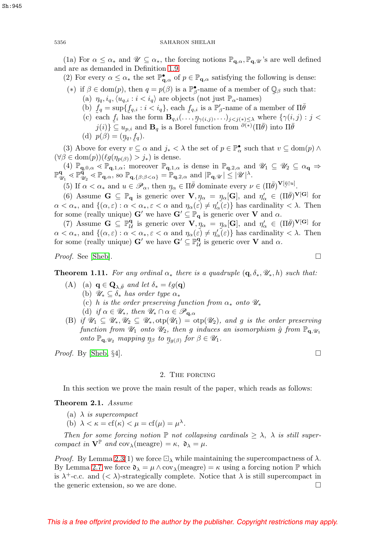(1a) For  $\alpha \leq \alpha_*$  and  $\mathscr{U} \subseteq \alpha_*$ , the forcing notions  $\mathbb{P}_{q,\alpha}$ ,  $\mathbb{P}_{q,\mathscr{U}}$ 's are well defined and are as demanded in Definition [1.9.](#page-4-1)

(2) For every  $\alpha \leq \alpha_*$  the set  $\mathbb{P}_{\mathbf{q},\alpha}^{\bullet}$  of  $p \in \mathbb{P}_{\mathbf{q},\alpha}$  satisfying the following is dense:

- (\*) if  $\beta \in \text{dom}(p)$ , then  $q = p(\beta)$  is a  $\mathbb{P}^{\bullet}_{\beta}$ -name of a member of  $\mathbb{Q}_{\beta}$  such that:<br>(a)  $p_{\alpha} i_{\alpha} (u_{\alpha} : i \leq i_{\alpha})$  are objects (not just  $\mathbb{P}_{\alpha}$ -names) (a)  $\eta_q, i_q, \langle u_{q,i} : i \langle i_q \rangle$  are objects (not just  $\mathbb{P}_{\alpha}$ -names)
	- (b)  $f_q = \sup\{f_{q,i} : i < i_q\}$ , each  $f_{q,i}$  is a  $\mathbb{P}'_\beta$ -name of a member of  $\Pi \overline{\theta}$ <br>(c) each  $f_i$  has the form  $\mathbf{B}_{\alpha,i}(\ldots,p_{\alpha(i)},\ldots)$  is  $\alpha(\alpha_i)$ , where  $\{\gamma(i,j)\}$
	- (c) each  $f_i$  has the form  $\mathbf{B}_{q,i}(\ldots,\eta_{\gamma(i,j)},\ldots)_{j where  $\{\gamma(i,j):j*j\leq j(i)\}\subset\mathcal{U}*$  is a Borel function from  $\frac{\partial(*)}{\partial I}$  into  $\Pi\overline{\theta}$$  $j(i)$ }  $\subseteq u_{p,i}$  and  $\mathbf{B}_q$  is a Borel function from  $\theta^{(*)}(\Pi \bar{\theta})$  into  $\Pi \bar{\theta}$ (d)  $p(\beta) = (y_q, f_q).$

(3) Above for every  $v \subseteq \alpha$  and  $j_* < \lambda$  the set of  $p \in \mathbb{P}_{\alpha}^{\bullet}$  such that  $v \subseteq \text{dom}(p) \wedge$  $(\forall \beta \in \text{dom}(p))(\ell g(\eta_{p(\beta)}) > j_*)$  is dense.

 $(4)$   $\mathbb{P}_{q,0,\alpha} \ll \mathbb{P}_{q,1,\alpha}$ ; moreover  $\mathbb{P}_{q,1,\alpha}$  is dense in  $\mathbb{P}_{q,2,\alpha}$  and  $\mathscr{U}_1 \subseteq \mathscr{U}_2 \subseteq \alpha_q \Rightarrow$  $\mathbb{P}_{\mathscr{U}_1}^{\mathbf{q}} \leq \mathbb{P}_{\mathscr{U}_2}^{\mathbf{q}} \leq \mathbb{P}_{\mathbf{q},\alpha}$ , so  $\mathbb{P}_{\mathbf{q},\{\beta:\beta<\alpha\}} = \mathbb{P}_{\mathbf{q},2,\alpha}$  and  $|\mathbb{P}_{\mathbf{q},\mathscr{U}}| \leq |\mathscr{U}|^{\lambda}$ .

(5) If  $\alpha < \alpha_*$  and  $u \in \mathscr{P}_\alpha$ , then  $\eta_\alpha \in \Pi \overline{\theta}$  dominate every  $\nu \in (\Pi \overline{\theta})^{\mathbf{V}[\overline{\eta}] \setminus u}$ .<br>(6) Assume  $\mathbf{G} \subset \mathbb{P}$  is generic over  $\mathbf{V}$   $n = n$  [**G**] and  $n' \in (\Pi \overline{\theta})^{\mathbf{V}}$ 

(6) Assume  $\mathbf{G} \subseteq \mathbb{P}_{\mathbf{q}}$  is generic over  $\mathbf{V}, \eta_{\alpha} = \eta_{\alpha}[\mathbf{G}],$  and  $\eta'_{\alpha} \in (\Pi \bar{\theta})^{\mathbf{V}[\mathbf{G}]}$  for  $\leq \alpha_{\alpha}$ , and  $\{(\alpha, \varepsilon) : \alpha \leq \alpha_{\alpha}, \varepsilon \leq \alpha \text{ and } \eta_{\alpha}(\varepsilon) \neq \eta'(\varepsilon)\}$  has cardinality  $\leq \lambda$  $\alpha < \alpha_*$ , and  $\{(\alpha, \varepsilon) : \alpha < \alpha_*, \varepsilon < \alpha \text{ and } \eta_\alpha(\varepsilon) \neq \eta'_\alpha(\varepsilon)\}\$  has cardinality  $< \lambda$ . Then for some (really unique)  $G'$  we have  $G' \subseteq \mathbb{P}_q$  is generic over **V** and  $\alpha$ .

(7) Assume  $\mathbf{G} \subseteq \mathbb{P}_{\mathcal{U}}^{\mathbf{q}}$  is generic over  $\mathbf{V}, \eta_{\alpha} = \eta_{\alpha}[\mathbf{G}],$  and  $\eta'_{\alpha} \in (\Pi \bar{\theta})^{\mathbf{V}[\mathbf{G}]}$  for  $\leq \alpha_{\alpha}$ , and  $\{(\alpha, \varepsilon) : \alpha \leq \alpha_{\alpha}, \varepsilon \leq \alpha \text{ and } \eta_{\alpha}(\varepsilon) \neq \eta'(\varepsilon)\}$  has cardinality  $\alpha < \alpha_*$ , and  $\{(\alpha, \varepsilon) : \alpha < \alpha_*, \varepsilon < \alpha \text{ and } \eta_\alpha(\varepsilon) \neq \eta'_\alpha(\varepsilon)\}\$  has cardinality  $\langle \lambda \rangle$ . Then for some (really unique)  $G'$  we have  $G' \subseteq \mathbb{P}^q_\mathcal{U}$  is generic over **V** and  $\alpha$ .

*Proof.* See [\[Sheb\]](#page-18-5).  $\Box$ 

<span id="page-5-0"></span>**Theorem 1.11.** For any ordinal  $\alpha_*$  there is a quadruple  $(\mathbf{q}, \delta_*, \mathcal{U}_*, h)$  such that:

- (A) (a)  $\mathbf{q} \in \mathbf{Q}_{\lambda, \bar{\theta}}$  and let  $\delta_* = \ell g(\mathbf{q})$ 
	- (b)  $\mathscr{U}_* \subseteq \delta_*$  has order type  $\alpha_*$
	- (c) h is the order preserving function from  $\alpha_*$  onto  $\mathscr{U}_*$

(d) if  $\alpha \in \mathscr{U}_*,$  then  $\mathscr{U}_* \cap \alpha \in \mathscr{P}_{\mathbf{q}, \alpha}$ 

(B) if  $\mathscr{U}_1 \subseteq \mathscr{U}_*, \mathscr{U}_2 \subseteq \mathscr{U}_*,$  otp $(\mathscr{U}_1) =$  otp $(\mathscr{U}_2)$ , and g is the order preserving function from  $\mathcal{U}_1$  onto  $\mathcal{U}_2$ , then g induces an isomorphism  $\hat{g}$  from  $\mathbb{P}_{q_1}$ onto  $\mathbb{P}_{q,\mathcal{U}_2}$  mapping  $\eta_\beta$  to  $\eta_{g(\beta)}$  for  $\beta \in \mathcal{U}_1$ .

*Proof.* By [\[Sheb,](#page-18-5) §4].  $\Box$ 

### 2. The forcing

In this section we prove the main result of the paper, which reads as follows:

**Theorem 2.1.** Assume

- (a)  $\lambda$  is supercompact
- (b)  $\lambda < \kappa = cf(\kappa) < \mu = cf(\mu) = \mu^{\lambda}$ .

Then for some forcing notion  $\mathbb P$  not collapsing cardinals  $\geq \lambda$ ,  $\lambda$  is still supercompact in  $\mathbf{V}^{\mathbb{P}}$  and  $\text{cov}_{\lambda}(\text{measure}) = \kappa$ ,  $\mathfrak{d}_{\lambda} = \mu$ .

*Proof.* By Lemma [2.3\(](#page-6-0)1) we force  $\Box_{\lambda}$  while maintaining the supercompactness of  $\lambda$ . By Lemma [2.7](#page-10-0) we force  $\mathfrak{d}_{\lambda} = \mu \wedge \text{cov}_{\lambda}(\text{measure}) = \kappa$  using a forcing notion  $\mathbb P$  which is  $\lambda^+$ -c.c. and  $(< \lambda)$ -strategically complete. Notice that  $\lambda$  is still supercompact in the generic extension, so we are done.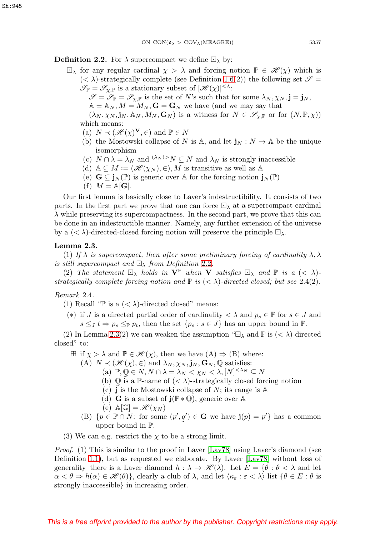<span id="page-6-1"></span>**Definition 2.2.** For  $\lambda$  supercompact we define  $\Box_{\lambda}$  by:

- $\Box_{\lambda}$  for any regular cardinal  $\chi > \lambda$  and forcing notion  $\mathbb{P} \in \mathcal{H}(\chi)$  which is  $(< \lambda$ )-strategically complete (see Definition [1.6\(](#page-3-1)2)) the following set  $\mathscr{S} =$  $\mathscr{S}_{\mathbb{P}} = \mathscr{S}_{\chi,\mathbb{P}}$  is a stationary subset of  $[\mathscr{H}(\chi)]^{<\lambda}$ :
	- $\mathscr{S} = \mathscr{S}_{\mathbb{P}} = \mathscr{S}_{\chi,\mathbb{P}}$  is the set of N's such that for some  $\lambda_N, \chi_N, \mathbf{j} = \mathbf{j}_N$ ,
	- $A = A_N, M = M_N, G = G_N$  we have (and we may say that

 $(\lambda_N, \chi_N, \mathbf{j}_N, \mathbb{A}_N, M_N, \mathbf{G}_N)$  is a witness for  $N \in \mathscr{S}_{\chi, \mathbb{P}}$  or for  $(N, \mathbb{P}, \chi)$ ) which means:

- (a)  $N \prec (\mathscr{H}(\chi)^{\mathbf{V}}, \in)$  and  $\mathbb{P} \in N$
- (b) the Mostowski collapse of N is  $\mathbb{A}$ , and let  $\mathbf{j}_N : N \to \mathbb{A}$  be the unique isomorphism
- (c)  $N \cap \lambda = \lambda_N$  and  $\lambda_N \ge N \subseteq N$  and  $\lambda_N$  is strongly inaccessible
- (d)  $\mathbb{A} \subseteq M := (\mathcal{H}(\chi_N), \in), M$  is transitive as well as  $\mathbb{A}$
- (e)  $\mathbf{G} \subseteq \mathbf{j}_N(\mathbb{P})$  is generic over A for the forcing notion  $\mathbf{j}_N(\mathbb{P})$
- (f)  $M = \mathbb{A}[\mathbf{G}].$

Our first lemma is basically close to Laver's indestructibility. It consists of two parts. In the first part we prove that one can force  $\Box_{\lambda}$  at a supercompact cardinal  $\lambda$  while preserving its supercompactness. In the second part, we prove that this can be done in an indestructible manner. Namely, any further extension of the universe by a  $(< \lambda$ )-directed-closed forcing notion will preserve the principle  $\square_{\lambda}$ .

# <span id="page-6-0"></span>**Lemma 2.3.**

(1) If  $\lambda$  is supercompact, then after some preliminary forcing of cardinality  $\lambda, \lambda$ is still supercompact and  $\Box_{\lambda}$  from Definition [2.2](#page-6-1).

(2) The statement  $\Box_{\lambda}$  holds in  $V^{\mathbb{P}}$  when **V** satisfies  $\Box_{\lambda}$  and  $\mathbb{P}$  is a  $( $\lambda$ )$ strategically complete forcing notion and  $\mathbb P$  is  $( $\lambda$ )-directed closed; but see 2.4(2).$ 

Remark 2.4.

(1) Recall "P is a  $( $\lambda$ )-directed closed" means:$ 

(\*) if J is a directed partial order of cardinality  $\langle \lambda \rangle$  and  $p_s \in \mathbb{P}$  for  $s \in J$  and  $s \leq J$   $t \Rightarrow p_s \leq_{\mathbb{P}} p_t$ , then the set  $\{p_s : s \in J\}$  has an upper bound in  $\mathbb{P}$ .

(2) In Lemma [2.3\(](#page-6-0)2) we can weaken the assumption " $\mathbb{E}_{\lambda}$  and  $\mathbb{P}$  is  $(< \lambda)$ -directed closed" to:

- $\boxplus$  if  $\chi > \lambda$  and  $\mathbb{P} \in \mathcal{H}(\chi)$ , then we have  $(A) \Rightarrow (B)$  where:
	- (A)  $N \prec (\mathcal{H}(\chi), \in)$  and  $\lambda_N, \chi_N, \mathbf{j}_N, \mathbf{G}_N, \mathbb{Q}$  satisfies:
		- (a)  $\mathbb{P}, \mathbb{Q} \in N, N \cap \lambda = \lambda_N < \chi_N < \lambda, [N]^{<\lambda_N} \subseteq N$
		- (b)  $\overline{Q}$  is a P-name of  $( $\lambda$ )-strategically closed forcing notion (c)  $\overline{\mathbf{i}}$  is the Mostowski collapse of  $N$ : its range is  $\mathbb{A}$$
		- (c)  $\mathbf{j}$  is the Mostowski collapse of N; its range is  $\mathbb{A}$
		- (d) **G** is a subset of  $\mathbf{j}(\mathbb{P} * \mathbb{Q})$ , generic over A
		- (e)  $\mathbb{A}[\mathbb{G}] = \mathscr{H}(\chi_N)$
	- (B)  $\{p \in \mathbb{P} \cap N: \text{ for some } (p', q') \in \mathbf{G} \text{ we have } \mathbf{j}(p) = p'\}\$  has a common  $\tilde{\phantom{a}}$ upper bound in P.
- (3) We can e.g. restrict the  $\chi$  to be a strong limit.

*Proof.* (1) This is similar to the proof in Laver  $\left[ \text{Lav78} \right]$  using Laver's diamond (see Definition [1.1\)](#page-2-0), but as requested we elaborate. By Laver  $[Lav78]$  without loss of generality there is a Laver diamond  $h : \lambda \to \mathcal{H}(\lambda)$ . Let  $E = \{ \theta : \theta < \lambda \}$  and let  $\alpha < \theta \Rightarrow h(\alpha) \in \mathcal{H}(\theta)$ , clearly a club of  $\lambda$ , and let  $\langle \kappa_{\varepsilon} : \varepsilon < \lambda \rangle$  list  $\{\theta \in E : \theta \text{ is }$ strongly inaccessible} in increasing order.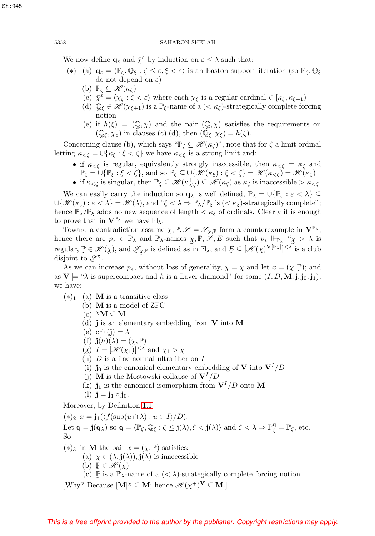We now define  $\mathbf{q}_{\varepsilon}$  and  $\bar{\chi}^{\varepsilon}$  by induction on  $\varepsilon \leq \lambda$  such that:

- (\*) (a)  $\mathbf{q}_{\varepsilon} = \langle \mathbb{P}_{\zeta}, \mathbb{Q}_{\xi} : \zeta \leq \varepsilon, \xi < \varepsilon \rangle$  is an Easton support iteration (so  $\mathbb{P}_{\zeta}, \mathbb{Q}_{\xi}$ do not depend on  $\varepsilon$ )  $\tilde{a}$ 
	- (b)  $\mathbb{P}_{\zeta} \subseteq \mathscr{H}(\kappa_{\zeta})$
	- (c)  $\bar{\chi}^{\varepsilon} = \langle \chi_{\zeta} : \zeta < \varepsilon \rangle$  where each  $\chi_{\xi}$  is a regular cardinal  $\in [\kappa_{\xi}, \kappa_{\xi+1})$
	- (d)  $\mathbb{Q}_{\xi} \in \mathcal{H}(\chi_{\xi+1})$  is a  $\mathbb{P}_{\xi}$ -name of a  $( $\kappa_{\xi}$ )-strategically complete forcing notion$ notion
	- (e) if  $h(\xi)=(\mathbb{Q},\chi)$  and the pair  $(\mathbb{Q},\chi)$  satisfies the requirements on  $(\mathbb{Q}_{\epsilon},\chi_{\epsilon})$  in clauses (c).(d), then  $(\mathbb{Q}_{\epsilon},\chi_{\epsilon})=h(\xi)$ .  $(\mathbb{Q}_{\xi}, \chi_{\varepsilon})$  in clauses (c),(d), then  $(\mathbb{Q}_{\xi}, \chi_{\xi}) = h(\xi)$ .

Concerning clause (b), which says " $\mathbb{P}_{\zeta} \subseteq \mathcal{H}(\kappa_{\zeta})$ ", note that for  $\zeta$  a limit ordinal letting  $\kappa_{\leq \zeta} = \bigcup \{ \kappa_{\xi} : \xi \leq \zeta \}$  we have  $\kappa_{\leq \zeta}$  is a strong limit and:

- if  $\kappa_{\leq \zeta}$  is regular, equivalently strongly inaccessible, then  $\kappa_{\leq \zeta} = \kappa_{\zeta}$  and  $\mathbb{P}_{\zeta} = \bigcup \{\mathbb{P}_{\xi} : \xi < \zeta\},\$ and so  $\mathbb{P}_{\zeta} \subseteq \bigcup \{\mathscr{H}(\kappa_{\xi}) : \xi < \zeta\} = \mathscr{H}(\kappa_{<\zeta}) = \mathscr{H}(\kappa_{\zeta})$
- if  $\kappa_{< \zeta}$  is singular, then  $\mathbb{P}_{\zeta} \subseteq \mathcal{H}(\kappa_{< \zeta}^+) \subseteq \mathcal{H}(\kappa_{\zeta})$  as  $\kappa_{\zeta}$  is inaccessible  $> \kappa_{< \zeta}$ .

We can easily carry the induction so  $\mathbf{q}_{\lambda}$  is well defined,  $\mathbb{P}_{\lambda} = \cup \{\mathbb{P}_{\varepsilon} : \varepsilon < \lambda\} \subseteq$  $\bigcup \{\mathcal{H}(\kappa_{\varepsilon}) : \varepsilon < \lambda\} = \mathcal{H}(\lambda)$ , and " $\xi < \lambda \Rightarrow \mathbb{P}_{\lambda}/\mathbb{P}_{\xi}$  is  $(<\kappa_{\xi})$ -strategically complete"; hence  $\mathbb{P}_{\lambda}/\mathbb{P}_{\xi}$  adds no new sequence of length  $\lt \kappa_{\xi}$  of ordinals. Clearly it is enough to prove that in  $\mathbf{V}^{\mathbb{P}_{\lambda}}$  we have  $\Box_{\lambda}$ .

Toward a contradiction assume  $\chi, \mathbb{P}, \mathscr{S} = \mathscr{S}_{\chi, \mathbb{P}}$  form a counterexample in  $\mathbf{V}^{\mathbb{P}_{\lambda}}$ ; hence there are  $p_* \in \mathbb{P}_\lambda$  and  $\mathbb{P}_\lambda$ -names  $\chi, \mathbb{P}, \mathscr{L}, E$  such that  $p_* \Vdash_{\mathbb{P}_\lambda} \chi > \lambda$  is<br>regular  $\mathbb{P} \in \mathscr{H}(\chi)$  and  $\mathscr{L}$  is defined as in  $\Box$ , and  $E \subset [\mathscr{H}(\chi) \mathbf{V}[\mathbb{P}_\lambda]] < \lambda$  is a club regular,  $\mathbb{P} \in \mathcal{H}(\chi)$ , and  $\mathcal{L}_{\chi,\mathbb{P}}$  is defined as in  $\Box_{\lambda}$ , and  $E \subseteq [\mathcal{H}(\chi)^{\mathbf{V}[\mathbb{P}_{\lambda}]}]^{<\lambda}$  $(\chi)$ , and  $\mathscr{L}_{\chi,\mathbb{P}}$  is defined as in  $\Box_{\lambda}$ , and  $\underline{F} \subseteq [\mathscr{H}(\chi)^{\mathbf{V}[\mathbb{P}_{\lambda}]}]^{<\lambda}$  is a club  $\tilde{\phantom{a}}$ disjoint to  $\mathscr{L}$ ".<br>As we can in

As we can increase  $p_*,$  without loss of generality,  $\chi = \chi$  and let  $x = (\chi, \mathbb{P});$  and  $\mathbf{V} \models$  " $\lambda$  is supercompact and h is a Laver diamond" for some  $(I, D, \mathbf{M}, \mathbf{i}, \mathbf{j}_0, \mathbf{i}_1)$ . as  $V \models$  " $\lambda$  is supercompact and h is a Laver diamond" for some  $(I, D, M, \mathbf{j}, \mathbf{j}_0, \mathbf{j}_1)$ , we have:

- $(*)_1$  (a) **M** is a transitive class
	- (b) **M** is a model of ZFC
	- $(c)$   $^{\chi}$ **M**  $\subset$  **M**
	- (d) **j** is an elementary embedding from **V** into **M**
	- (e) crit(**j**) =  $\lambda$
	- (f)  $\mathbf{j}(h)(\lambda) = (\chi, \mathbb{P})$ <br>(g)  $I = [\mathcal{H}(\chi_{\lambda})] \leq \lambda$
	- (g)  $I = [\mathcal{H}(\chi_1)]^{<\lambda}$  and  $\chi_1 > \chi$
	- (h)  $D$  is a fine normal ultrafilter on  $I$
	- (i) **j**<sub>0</sub> is the canonical elementary embedding of **V** into  $V^{I}/D$
	- (j) **M** is the Mostowski collapse of  $V^{I}/D$
	- (k)  $\mathbf{j}_1$  is the canonical isomorphism from  $\mathbf{V}^I/D$  onto  $\mathbf{M}$
	- (1)  $j = j_1 \circ j_0$ .

Moreover, by Definition [1.1](#page-2-0)

 $(*)_2$   $x = \mathbf{j}_1(\langle f(\sup(u \cap \lambda)) : u \in I \rangle / D).$ Let  $\mathbf{q} = \mathbf{j}(\mathbf{q}_{\lambda})$  so  $\mathbf{q} = \langle \mathbb{P}_{\zeta}, \mathbb{P}_{\zeta} \rangle$  $\tilde{\phantom{a}}$  $\mathbb{Q}_{\xi} : \zeta \leq \mathbf{j}(\lambda), \xi < \mathbf{j}(\lambda)$  and  $\zeta < \lambda \Rightarrow \mathbb{P}_{\zeta}^{\mathbf{q}} = \mathbb{P}_{\zeta}$ , etc. So (\*)<sub>3</sub> in **M** the pair  $x = (\chi, \mathbb{P})$  satisfies:<br>(a)  $\chi \in (\chi, \mathbf{i}(\lambda))$  **i**(A) is inaccessi

(a)  $\chi \in (\lambda, \mathbf{j}(\lambda)), \mathbf{j}(\lambda)$  is inaccessible

(b)  $\mathbb{P} \in \mathscr{H}(\chi)$ <br>(c)  $\mathbb{P}$  is a  $\mathbb{P}_{\lambda-1}$ 

(c)  $\mathbb{P}$  is a  $\mathbb{P}_{\lambda}$ -name of a  $(< \lambda)$ -strategically complete forcing notion.  $[\text{Why? Because }[\mathbf{M}]^{\chi} \subseteq \mathbf{M}$ ; hence  $\mathscr{H}(\chi^{+})^{\mathbf{V}} \subseteq \mathbf{M}$ .]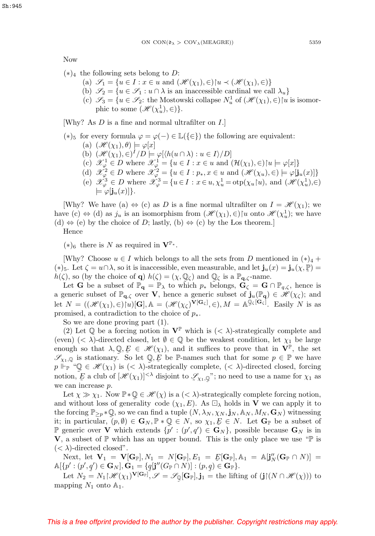Now

- $(*)<sub>4</sub>$  the following sets belong to D:
	- (a)  $\mathscr{S}_1 = \{u \in I : x \in u \text{ and } (\mathscr{H}(\chi_1), \in) | u \prec (\mathscr{H}(\chi_1), \in) \}$
	- (b)  $\mathscr{S}_2 = \{u \in \mathscr{S}_1 : u \cap \lambda \text{ is an inaccessible cardinal we call } \lambda_u\}$
	- (c)  $\mathscr{S}_3 = \{u \in \mathscr{S}_2$ : the Mostowski collapse  $N_u^1$  of  $(\mathscr{H}(\chi_1), \in)$  [u is isomorphic to some  $(\mathscr{H}(\chi_u^1), \in)$ .

[Why? As D is a fine and normal ultrafilter on I.]

(\*)<sub>5</sub> for every formula  $\varphi = \varphi(-) \in \mathbb{L}({\{\in\}})$  the following are equivalent:

- (a)  $(\mathscr{H}(\chi_1), \theta) \models \varphi[x]$
- (b)  $(\mathcal{H}(\chi_1), \in)^I/D \models \varphi[\langle h(u \cap \lambda) : u \in I \rangle/D]$
- (c)  $\mathcal{X}_{\varphi}^1 \in D$  where  $\mathcal{X}_{\varphi}^1 = \{u \in I : x \in u \text{ and } (\mathcal{H}(\chi_1), \in) | u \models \varphi[x] \}$
- (d)  $\mathscr{X}_{\varphi}^2 \in D$  where  $\mathscr{X}_{\varphi}^2 = \{u \in I : p_*, x \in u \text{ and } (\mathscr{H}(\chi_u), \in) \models \varphi[\mathbf{j}_u(x)]\}$
- (e)  $\mathscr{X}_{\varphi}^3 \in D$  where  $\mathscr{X}_{\varphi}^3 = \{u \in I : x \in u, \chi_u^1 = \text{otp}(\chi_u[u], \text{ and } (\mathscr{H}(\chi_u^1), \in)$  $\models \varphi$ [**j**<sub>u</sub> $(x)$ ].

[Why? We have (a)  $\Leftrightarrow$  (c) as D is a fine normal ultrafilter on  $I = \mathcal{H}(\chi_1)$ ; we have (c)  $\Leftrightarrow$  (d) as  $j_u$  is an isomorphism from  $(\mathscr{H}(\chi_1), \in)$  [u onto  $\mathscr{H}(\chi_u^1)$ ; we have (d)  $\Leftrightarrow$  (e) by the choice of D; lastly, (b)  $\Leftrightarrow$  (c) by the Los theorem.]

Hence

 $(*)_6$  there is N as required in  $\mathbf{V}^{\mathbb{P}_*}.$ 

[Why? Choose  $u \in I$  which belongs to all the sets from D mentioned in  $(*)_4 +$ (\*)<sub>5</sub>. Let  $\zeta = u \cap \lambda$ , so it is inaccessible, even measurable, and let  $\mathbf{j}_u(x) = \mathbf{j}_u(\chi, \mathbb{P}) =$ <br> $h(\zeta)$  so (by the choice of  $\Omega$ )  $h(\zeta) = (\chi \Omega)$  and  $\Omega$ ) is a  $\mathbb{P}$  consume h( $\zeta$ ), so (by the choice of **q**) h( $\zeta$ ) = ( $\chi$ ,  $\mathbb{Q}_\zeta$ ) and  $\mathbb{Q}_\zeta$  is a  $\mathbb{P}_{\mathbf{q},\zeta}$ -name.<br>Let **G** be a subset of  $\mathbb{P}_{\mathbf{q}} = \mathbb{P}_\lambda$  to which  $p_*$  belongs.  $\mathbf{G}_\zeta = \mathbf{G}$  (

Let **G** be a subset of  $\mathbb{P}_{q} = \mathbb{P}_{\lambda}$  to which  $p_*$  belongs,  $\mathbf{G}_{\zeta} = \mathbf{G} \cap \mathbb{P}_{q,\zeta}$ , hence is a generic subset of  $\mathbb{P}_{q,\zeta}$  over **V**, hence a generic subset of  $\mathbf{j}_u(\mathbb{P}_q) \in \mathcal{H}(\chi_{\zeta})$ ; and let  $N = ((\mathcal{H}(\chi_1), \in) [u][\mathbf{G}], \mathbb{A} = (\mathcal{H}(\chi_{\zeta})^{\mathbf{V}[\mathbf{G}_{\zeta}]}, \in), M = \mathbb{A}^{\mathbb{Q}_{\zeta}[\mathbf{G}_{\zeta}]}$ . Easily N is as promised, a contradiction to the choice of  $p_*$ .

So we are done proving part (1).

(2) Let  $\mathbb Q$  be a forcing notion in  $\mathbf V^{\mathbb P}$  which is  $( $\lambda$ )-strategically complete and$ (even) (<  $\lambda$ )-directed closed, let  $\emptyset \in \mathbb{Q}$  be the weakest condition, let  $\chi_1$  be large enough so that  $\lambda, \mathbb{Q}, E \in \mathcal{H}(\chi_1)$ , and it suffices to prove that in  $\mathbf{V}^{\mathbb{P}}$ , the set  $\mathcal{H}_{\alpha,\mathbb{Q}}$  is stationary. So let  $\mathbb{Q}, E$  be  $\mathbb{P}$ -names such that for some  $n \in \mathbb{P}$  we have  $\mathscr{S}_{\chi_1,\mathbb{Q}}$  is stationary. So let  $\mathbb{Q}, E$  be P-names such that for some  $p \in \mathbb{P}$  we have  $p \Vdash_{\mathbb{P}} \mathscr{C}(\chi_1)$  is  $( $\lambda$ )-strategically complete.  $( $\lambda$ )-directed closed, forcing$$  $p \Vdash_{\mathbb{P}} \text{``$\mathbb{Q}$} \in \mathscr{H}(\chi_1) \text{ is } (<\lambda) \text{-strategically complete, } (<\lambda) \text{-directed closed, forcing}$ notion,  $\mathcal{F}$  a club of  $[\mathcal{H}(\chi_1)]^{<\lambda}$  disjoint to  $\mathcal{I}_{\chi_1,\mathbb{Q}}$ "; no need to use a name for  $\chi_1$  as  $\tilde{\phantom{a}}$ we can increase p.

Let  $\chi \gg \chi_1$ . Now  $\mathbb{P} * \mathbb{Q} \in \mathscr{H}(\chi)$  is a  $( $\lambda$ )-strategically complete forcing notion,$ and without loss of generality code  $(\chi_1, E)$ . As  $\Box_{\lambda}$  holds in **V** we can apply it to the forcing  $\mathbb{P}_{\geq p} * \mathbb{Q}$ , so we can find a tuple  $(N, \lambda_N, \chi_N, \mathbf{j}_N, \mathbb{A}_N, M_N, \mathbf{G}_N)$  witnessing it; in particular,  $(p, \emptyset) \in \mathbf{G}_N$ ,  $\mathbb{P} * \mathbb{Q} \in N$ , so  $\chi_1, E \in N$ . Let  $\mathbf{G}_{\mathbb{P}}$  be a subset of **P** generic over **V** which extends  $\{\tilde{p}' : (p', q') \in \mathbf{G}_N\}$ , possible because  $\mathbf{G}_N$  is in **V**, a subset of  $\mathbb{P}$  which has an upper bound. This is the only place we use " $\mathbb{P}$  is  $(< \lambda$ -directed closed".

Next, let  $\mathbf{V}_1 = \mathbf{V}[\mathbf{G}_{\mathbb{P}}], N_1 = N[\mathbf{G}_{\mathbb{P}}], E_1 = E[\mathbf{G}_{\mathbb{P}}], \mathbb{A}_1 = \mathbb{A}[\mathbf{j}_N''(\mathbf{G}_{\mathbb{P}} \cap N)] =$ <br>  $\mathbf{V}_N' \cdot (\mathbf{n}', \mathbf{g}') \in \mathbf{G}_{\mathbb{P}}$  $\mathbb{A}[\{p' : (p', q') \in \mathbf{G}_N\}, \mathbf{G}_1 = \{q[\mathbf{j}''(G_{\mathbb{P}} \cap N)] : (p, q) \in \mathbf{G}_{\mathbb{P}}\}.$ 

Let  $N_2 = N_1 | \mathcal{H}(\chi_1)^{\mathbf{V}[\mathbf{G}_\mathbb{P}]}, \mathcal{S} = \mathcal{S}_\mathbb{Q}[\mathbf{G}_\mathbb{P}], \mathbf{j}_1 =$  the lifting of  $(\mathbf{j} | (N \cap \mathcal{H}(\chi)))$  to mapping  $N_1$  onto  $\mathbb{A}_1$ .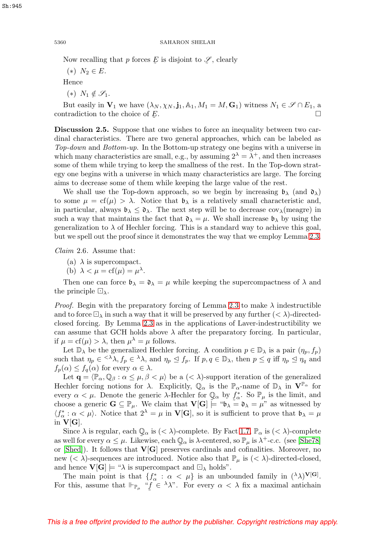Now recalling that p forces  $\overline{E}$  is disjoint to  $\mathscr{L}$ , clearly

 $(*)\;N_2 \in E.$ 

Hence

 $(*) N_1 \notin \mathscr{S}_1$ .

But easily in  $\mathbf{V}_1$  we have  $(\lambda_N, \chi_N, \mathbf{j}_1, \mathbb{A}_1, M_1 = M, \mathbf{G}_1)$  witness  $N_1 \in \mathcal{S} \cap E_1$ , a contradiction to the choice of  $E$ .  $E$ .

**Discussion 2.5.** Suppose that one wishes to force an inequality between two cardinal characteristics. There are two general approaches, which can be labeled as Top-down and Bottom-up. In the Bottom-up strategy one begins with a universe in which many characteristics are small, e.g., by assuming  $2^{\lambda} = \lambda^{+}$ , and then increases some of them while trying to keep the smallness of the rest. In the Top-down strategy one begins with a universe in which many characteristics are large. The forcing aims to decrease some of them while keeping the large value of the rest.

We shall use the Top-down approach, so we begin by increasing  $\mathfrak{b}_{\lambda}$  (and  $\mathfrak{d}_{\lambda}$ ) to some  $\mu = \text{cf}(\mu) > \lambda$ . Notice that  $\mathfrak{b}_{\lambda}$  is a relatively small characteristic and, in particular, always  $\mathfrak{b}_{\lambda} \leq \mathfrak{d}_{\lambda}$ . The next step will be to decrease  $cov_{\lambda}$ (meagre) in such a way that maintains the fact that  $\mathfrak{d}_{\lambda} = \mu$ . We shall increase  $\mathfrak{b}_{\lambda}$  by using the generalization to  $\lambda$  of Hechler forcing. This is a standard way to achieve this goal, but we spell out the proof since it demonstrates the way that we employ Lemma [2.3.](#page-6-0)

<span id="page-9-0"></span>Claim 2.6. Assume that:

- (a)  $\lambda$  is supercompact.
- (b)  $\lambda < \mu = \text{cf}(\mu) = \mu^{\lambda}$ .

Then one can force  $\mathfrak{b}_{\lambda} = \mathfrak{d}_{\lambda} = \mu$  while keeping the supercompactness of  $\lambda$  and the principle  $\Box_{\lambda}$ .

*Proof.* Begin with the preparatory forcing of Lemma [2.3](#page-6-0) to make  $\lambda$  indestructible and to force  $\Box$ , in such a way that it will be preserved by any further  $(< \lambda$ )-directedclosed forcing. By Lemma [2.3](#page-6-0) as in the applications of Laver-indestructibility we can assume that GCH holds above  $\lambda$  after the preparatory forcing. In particular, if  $\mu = cf(\mu) > \lambda$ , then  $\mu^{\lambda} = \mu$  follows.

Let  $\mathbb{D}_{\lambda}$  be the generalized Hechler forcing. A condition  $p \in \mathbb{D}_{\lambda}$  is a pair  $(\eta_p, f_p)$ such that  $\eta_p \in \langle \lambda \lambda, f_p \in \lambda \lambda$ , and  $\eta_p \leq f_p$ . If  $p, q \in \mathbb{D}_{\lambda}$ , then  $p \leq q$  iff  $\eta_p \leq \eta_q$  and  $f_p(\alpha) \leq f_q(\alpha)$  for every  $\alpha \in \lambda$ .

Let  $\mathbf{q} = \langle \mathbb{P}_{\alpha}, \mathbb{Q}_{\beta} : \alpha \leq \mu, \beta < \mu \rangle$  be a  $( $\lambda$ )-support iteration of the generalized$ Hechler forcing notions for  $\lambda$ . Explicitly,  $\mathbb{Q}_{\alpha}$  is the  $\mathbb{P}_{\alpha}$ -name of  $\mathbb{D}_{\lambda}$  in  $\mathbf{V}^{\mathbb{P}_{\alpha}}$  for every  $\alpha < \mu$ . Denote the generic  $\lambda$ -Hechler for  $\mathbb{Q}_{\alpha}$  by  $f_{\alpha}^{*}$ . So  $\mathbb{P}_{\mu}$  is the limit, and choose a generic  $\mathbf{G} \subseteq \mathbb{P}_{\mu}$ . We claim that  $\mathbf{V}[\mathbf{G}] \models$  " $\mathfrak{b}_{\lambda} = \mathfrak{d}_{\lambda} = \mu$ " as witnessed  $f^*_{\alpha}$ . So  $\mathbb{P}_{\mu}$  is the limit, and  $\langle f^*_{\alpha} : \alpha < \mu \rangle$ . Notice that  $2^{\lambda} = \mu$  in **V**[**G**], so it is sufficient to prove that  $\mathfrak{b}_{\lambda} = \mu$ in  $V[G]$ .

Since  $\lambda$  is regular, each  $\mathbb{Q}_{\alpha}$  is  $(< \lambda)$ -complete. By Fact [1.7,](#page-3-2)  $\mathbb{P}_{\alpha}$  is  $(< \lambda)$ -complete<br>well for every  $\alpha \leq \mu$ . Likewise, each  $\mathbb{Q}_{\alpha}$  is  $\lambda$ -centered, so  $\mathbb{P}_{\alpha}$  is  $\lambda$ +-c c. (see [She78] as well for every  $\alpha \leq \mu$ . Likewise, each  $\mathbb{Q}_{\alpha}$  is  $\lambda$ -centered, so  $\mathbb{P}_{\mu}$  is  $\lambda^{+}$ -c.c. (see [\[She78\]](#page-18-15) or [Shed]). It follows that **V**[**G**] preserves cardinals and cofinalities. Moreover, no or [\[Shed\]](#page-18-16)). It follows that **V**[**G**] preserves cardinals and cofinalities. Moreover, no new  $(< \lambda$ )-sequences are introduced. Notice also that  $\mathbb{P}_{\mu}$  is  $(< \lambda$ )-directed-closed, and hence  $\mathbf{V}[\mathbf{G}] \models \text{``$\lambda$}$  is supercompact and  $\Box_{\lambda}$  holds".

The main point is that  $\{f^*_\alpha : \alpha < \mu\}$  is an unbounded family in  $({}^\lambda \lambda)^{V[G]}$ . For this, assume that  $\Vdash_{\mathbb{P}_\mu}$  " $f \in \lambda \lambda$ ". For every  $\alpha < \lambda$  fix a maximal antichain ˜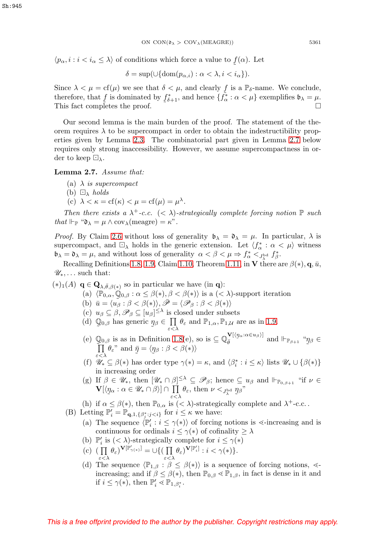$\langle p_{\alpha}, i : i \langle i_{\alpha} \leq \lambda \rangle$  of conditions which force a value to  $f(\alpha)$ . Let

$$
\delta = \sup(\cup \{ \operatorname{dom}(p_{\alpha,i}) : \alpha < \lambda, i < i_\alpha \}).
$$

Since  $\lambda < \mu = \text{cf}(\mu)$  we see that  $\delta < \mu$ , and clearly f is a  $\mathbb{P}_{\delta}$ -name. We conclude, therefore, that f is dominated by  $f_{\epsilon+1}^*$ , and hence  $\{\tilde{f}_{\epsilon}^* : \alpha < \mu\}$  exemplifies  $\mathfrak{b}_\lambda = \mu$ . therefore, that f is dominated by  $f_{\delta+1}^*$ , and hence  $\{f_{\alpha}^* : \alpha < \mu\}$  exemplifies  $\mathfrak{b}_{\lambda} = \mu$ .<br>This fact completes the proof. This fact completes the proof.

Our second lemma is the main burden of the proof. The statement of the theorem requires  $\lambda$  to be supercompact in order to obtain the indestructibility properties given by Lemma [2.3.](#page-6-0) The combinatorial part given in Lemma [2.7](#page-10-0) below requires only strong inaccessibility. However, we assume supercompactness in order to keep  $\Box_{\lambda}$ .

<span id="page-10-0"></span>**Lemma 2.7.** Assume that:

- (a)  $\lambda$  is supercompact
- (b)  $\Box_{\lambda}$  holds
- (c)  $\lambda < \kappa = \text{cf}(\kappa) < \mu = \text{cf}(\mu) = \mu^{\lambda}$ .

Then there exists a  $\lambda^+$ -c.c.  $(< \lambda$ )-strategically complete forcing notion  $\mathbb P$  such that  $\Vdash_{\mathbb{P}}$  " $\mathfrak{d}_{\lambda} = \mu \wedge \text{cov}_{\lambda}(\text{measure}) = \kappa$ ".

*Proof.* By Claim [2.6](#page-9-0) without loss of generality  $\mathfrak{b}_{\lambda} = \mathfrak{d}_{\lambda} = \mu$ . In particular,  $\lambda$  is supercompact, and  $\Box_{\lambda}$  holds in the generic extension. Let  $\langle f^*_{\alpha} : \alpha < \mu \rangle$  witness  $\mathfrak{b}_{\lambda} = \mathfrak{d}_{\lambda} = \mu$ , and without loss of generality  $\alpha < \beta < \mu \Rightarrow f_{\alpha}^* <_{J_{\lambda}^{\text{bd}}} f_{\beta}^*$ .

Recalling Definitions [1.8,](#page-4-0) [1.9,](#page-4-1) Claim [1.10,](#page-4-2) Theorem [1.11,](#page-5-0) in **V** there are  $\beta(*)$ , **q**,  $\bar{u}$ ,  $\mathscr{U}_*,\ldots$  such that:

- $(*)_1(A)$  **q**  $\in \mathbf{Q}_{\lambda,\bar{\theta},\beta(*)}$  so in particular we have (in **q**):
	- (a)  $\langle \mathbb{P}_{0,\alpha}, \mathbb{Q}_{0,\beta} : \alpha \leq \beta(*) , \beta < \beta(*) \rangle$  is a  $( $\lambda$ )-support iteration$
	- (b)  $\bar{u} = \langle \tilde{u}_{\beta} : \beta < \beta(*) \rangle, \bar{\mathscr{P}} = \langle \mathscr{P}_{\beta} : \beta < \beta(*) \rangle$
	- (c)  $u_{\beta} \subseteq \beta, \mathscr{P}_{\beta} \subseteq [u_{\beta}]^{\leq \lambda}$  is closed under subsets
	- (d)  $\mathbb{Q}_{0,\beta}$  has generic  $\eta_{\beta} \in \prod_{\varepsilon < \lambda} \theta_{\varepsilon}$  and  $\mathbb{P}_{1,\alpha}, \mathbb{P}_{1,\mathcal{U}}$  are as in [1.9.](#page-4-1)
	- (e)  $\mathbb{Q}_{0,\beta}$  is as in Definition [1.8\(](#page-4-0)e), so is  $\subseteq \mathbb{Q}_{\bar{\theta}}^{\mathbf{V}[\langle \eta_{\alpha}:\alpha \in u_{\beta} \rangle]}$ <br>  $\prod_{\beta,\beta} \theta$ , and  $\bar{\eta} = \langle \eta_{\beta} : \beta \leq \beta(\ast) \rangle$  $\bar{\theta}$  and  $\mathbb{H}_{\mathbb{P}_{\beta+1}}$  "  $\tilde{\phantom{a}}$  $\eta_\beta \in$  $\prod_{\gamma<\lambda} \theta_{\varepsilon}$ " and  $\bar{\eta} = \langle \eta_{\beta} : \beta < \beta(*) \rangle$  $\varepsilon < \lambda$  ,  $\varepsilon$  ,  $\varepsilon$
	- (f)  $\mathscr{U}_* \subseteq \beta(*)$  has order type  $\gamma(*) = \kappa$ , and  $\langle \beta_i^* : i \leq \kappa \rangle$  lists  $\mathscr{U}_* \cup \{ \beta(*) \}$ in increasing order
	- (g) If  $\beta \in \mathscr{U}_*$ , then  $[\mathscr{U}_* \cap \beta]^{\leq \lambda} \subseteq \mathscr{P}_{\beta}$ ; hence  $\subseteq u_{\beta}$  and  $\Vdash_{\mathbb{P}_{0,\beta+1}}$  "if  $\nu \in$  $\mathbf{V}[\langle \underline{\eta}_{\alpha} : \alpha \in \mathscr{U}_{*} \cap \beta \rangle] \cap \prod_{\varepsilon < \lambda} \theta_{\varepsilon}, \text{ then } \nu <_{J_{\lambda}^{\text{bd}}} \underline{\eta}$  ${\eta_\beta} "$
	- (h) if  $\alpha \leq \beta(*)$ , then  $\mathbb{P}_{0,\alpha}$  is  $(< \lambda)$ -strategically complete and  $\lambda^+$ -c.c.
	- (B) Letting  $\mathbb{P}'_i = \mathbb{P}_{\mathbf{q},1,\{\beta_j^*:j for  $i \leq \kappa$  we have:$ 
		- (a) The sequence  $\langle \mathbb{P}'_i : i \leq \gamma(*) \rangle$  of forcing notions is  $\prec$ -increasing and is continuous for ordinals  $i \leq \gamma(*)$  of cofinality  $\geq \lambda$
		- (b)  $\mathbb{P}'_i$  is  $( $\lambda$ )-strategically complete for  $i \leq \gamma(*)$$
		- $\text{(c)} \text{ } (\text{ } \prod \text{ } \theta_{\varepsilon})^{\mathbf{V}[\mathbb{P}'_{\gamma(*)}]} = \cup \{ (\text{ } \prod \text{ } \theta_{\varepsilon})^{\mathbf{V}[\mathbb{P}'_i]} : i < \gamma(*) \}.$
		- (d) The sequence  $\langle \mathbb{P}_{1,\beta} : \beta \leq \beta(*) \rangle$  is a sequence of forcing notions,  $\ll$ increasing; and if  $\beta \leq \beta(*)$ , then  $\mathbb{P}_{0,\beta} \leq \mathbb{P}_{1,\beta}$ , in fact is dense in it and if  $i \leq \gamma(*)$ , then  $\mathbb{P}'_i \lessdot \mathbb{P}_{1,\beta_i^*}$ .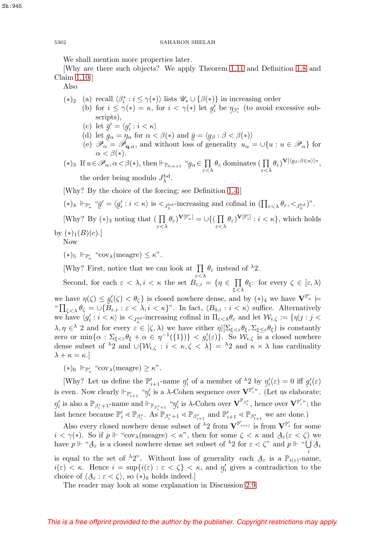We shall mention more properties later.

[Why are there such objects? We apply Theorem [1.11](#page-5-0) and Definition [1.8](#page-4-0) and Claim [1.10.](#page-4-2)]

Also

- (\*)<sub>2</sub> (a) recall  $\langle \beta_i^* : i \leq \gamma(*) \rangle$  lists  $\mathscr{U}_* \cup \{ \beta(*) \}$  in increasing order
	- (b) for  $i \leq \gamma(*) = \kappa$ , for  $i < \gamma(*)$  let  $g'_i$  be  $\eta_{\beta_i^*}$  (to avoid excessive subscripts). scripts),
		- (c) let  $\bar{g}' = \langle g'_i : i < \kappa \rangle$ <br>(d) let  $\bar{g}_{\alpha} = \bar{n}_{\alpha}$  for  $\alpha$
		- (d) let  $\tilde{g}_{\alpha} = \tilde{\eta}_{\alpha}$  for  $\alpha < \beta(*)$  and  $\bar{g} = \langle g_{\beta} : \beta < \beta(*) \rangle$ <br>(e)  $\mathscr{P}_{\alpha} = \tilde{\mathscr{P}}_{\alpha}$  and without loss of generality  $y_{\alpha}$
		- (e)  $\mathscr{P}_{\alpha} = \tilde{\mathscr{P}_{q,\alpha}}$ , and without loss of generality  $u_{\alpha} = \bigcup \{u : u \in \mathscr{P}_{\alpha}\}\)$  for  $\alpha < \beta(*)$ .
- (\*)<sub>3</sub> If  $u \in \mathscr{P}_\alpha$ ,  $\alpha < \beta$ (\*), then  $\Vdash_{\mathbb{P}_{0,\alpha+1}}$  "  $\tilde{\phantom{0}}$  $g_{\alpha} \in \prod_{\varepsilon < \lambda} \theta_{\varepsilon}$  dominates  $\left( \prod_{\varepsilon < \lambda} \theta_{\varepsilon} \right)^{\mathbf{V}[\langle g_{\beta} : \beta \in u \rangle]},$ the order being modulo  $J_{\lambda}^{\rm bd}$ .

[Why? By the choice of the forcing; see Definition [1.4.](#page-3-0)]

$$
(*)_4 \Vdash_{\mathbb{P}'_{\kappa}} \text{``$\bar{g}' = \langle g_i' : i < \kappa \rangle$ is <$\bar{f}_{\lambda}^{\text{bd}}$-increasing and cofinal in $(\prod_{\varepsilon < \lambda} \theta_{\varepsilon}, <_{\bar{f}_{\lambda}^{\text{bd}}})$''}.
$$

[Why? By  $(*)_3$  noting that  $\left(\prod_{\varepsilon<\lambda}\theta_{\varepsilon}\right)^{\mathbf{V}[\mathbb{P}'_{\kappa}]}=\cup\left\{\left(\prod_{\varepsilon<\lambda}\theta_{\varepsilon}\right)^{\mathbf{V}[\mathbb{P}'_{\kappa}]}:\mathbb{P}^{\lambda}\right\}$  $\prod_{\varepsilon < \lambda} \theta_{\varepsilon}$ )<sup>V[ $\mathbb{P}'_i$ ] :  $i < \kappa$ }, which holds</sup> by  $(*)_1(B)(c).$ 

Now

 $(\ast)_5 \Vdash_{\mathbb{P}'_{\kappa}} \text{``cov}_{\lambda}(\text{measure}) \leq \kappa$ ".

[Why? First, notice that we can look at  $\prod$  $\prod_{\varepsilon < \lambda} \theta_{\varepsilon}$  instead of  $^{\lambda}2$ .

Second, for each  $\varepsilon < \lambda, i < \kappa$  the set  $B_{\varepsilon,i} = \{ \eta \in \prod_{\xi < \lambda} \theta_{\xi} : \text{ for every } \zeta \in [\varepsilon, \lambda) \}$ we have  $\eta(\zeta) \leq g_i'(\zeta) < \theta_{\zeta}$  is closed nowhere dense, and by  $(*)_4$  we have  $\mathbf{V}^{\mathbb{P}'_{\kappa}} \models$ <br>" $\prod_{\zeta \in \zeta} \theta_{\zeta} = \bigcup \{\widetilde{B}_{\zeta} : \xi \leq \lambda, i \leq \kappa\}$ ". In fact.  $\langle B_{0,i} : i \leq \kappa \rangle$  suffice. Alternatively " $\prod_{\zeta<\lambda}\theta_{\zeta}=\cup\{B_{\varepsilon,i}:\varepsilon<\lambda,i<\kappa\}$ ". In fact,  $\langle B_{0,i}:i<\kappa\rangle$  suffice. Alternatively we have  $\langle g_i': i < \kappa \rangle$  is  $\langle J_{\lambda}^{bd}$ -increasing cofinal in  $\Pi_{\varepsilon \langle \lambda} \theta_{\varepsilon}$  and let  $\mathcal{W}_{i,\zeta} := \{\eta | j : j \leq \varepsilon \}$  $\lambda, \eta \in^{\lambda} 2$  and for every  $\varepsilon \in [\zeta, \lambda)$  we have either  $\eta | \Sigma_{\xi < \varepsilon} \theta_{\xi}, \Sigma_{\xi < \varepsilon} \theta_{\xi}$  is constantly zero or  $\min\{\alpha : \Sigma_{\xi<\varepsilon}\theta_{\xi} + \alpha \in \eta^{-1}(\{1\})\} < g'_{i}(\varepsilon)\}\)$ . So  $\mathcal{W}_{i,\zeta}$  is a closed nowhere dense subset of  $\lambda_2$  and  $\cup \{W_{i,\zeta} : i \leq \kappa, \zeta \leq \lambda\} = \lambda_2$  and  $\kappa \times \lambda$  has cardinality  $\lambda + \kappa = \kappa.$ 

 $(\ast)_6$   $\Vdash_{\mathbb{P}'_{\kappa}}$  "cov<sub> $\lambda$ </sub>(meagre)  $\geq \kappa$ ".

[Why? Let us define the  $\mathbb{P}'_{i+1}$ -name  $\eta'_i$  of a member of  $\lambda_2$  by  $\eta'_i(\varepsilon) = 0$  iff  $g'_i(\varepsilon)$ <br>was Now clearly  $\vdash_{\mathbb{R}} \dots \overset{\omega_n'}{\otimes}$  is a ) Cohen sequence over  $\mathbf{V}^{\mathbb{P}'_i}$ . (Let us elaborate) is even. Now clearly  $\Vdash_{\mathbb{P}'_{i+1}}$  " $\eta'_i$  is a  $\lambda$ -Cohen sequence over  $\mathbf{V}^{\mathbb{P}'_i}$ ". (Let us elaborate;  $\eta_i'$  is also a  $\mathbb{P}_{\beta_i^*+1}$ -name and  $\mathbb{P}_{\beta_i^*+1}$  " $\eta_i'$  is  $\lambda$ -Cohen over  $\mathbf{V}^{\mathbb{P}_{\beta_i^*}}$ , hence over  $\mathbf{V}^{\mathbb{P}'_i}$ "; the Last hence because  $\mathbb{P}'_i \leq \mathbb{P}_{\beta_i^*}$ . As  $\mathbb{P}_{\beta_i^*+1} \leq \mathbb{P}_{\beta_{i+1}^*}$  and  $\mathbb{P}'_{i+1} \leq \mathbb{P}_{\beta_{i+1}^*}$  we are done.)

Also every closed nowhere dense subset of  $\lambda_2$  from  $V^{\mathbb{P}'_{\gamma(*)}}$  is from  $V^{\mathbb{P}'_i}$  for some  $i < \gamma(*)$ . So if  $p \Vdash$  "cov<sub> $\lambda$ </sub>(meagre)  $< \kappa$ ", then for some  $\zeta < \kappa$  and  $A_{\varepsilon}(\varepsilon < \zeta)$  we<br>have  $n \Vdash$  "A is a closed nowhere dense set subset of  $\lambda$ ? for  $\varepsilon < C$ " and  $n \Vdash$  "LA. have  $p \Vdash \text{``} \mathcal{A}_{\varepsilon}$  is a closed nowhere dense set subset of  ${}^{\lambda}2$  for  $\varepsilon < \zeta$ " and  $p \Vdash \text{``} \bigcup_i \mathcal{A}_i$ 

is equal to the set of  $\lambda_2$ ". Without loss of generality each  $A_{\varepsilon}$  is a  $\mathbb{P}_{i(\varepsilon)}$ -name,<br> $i(\varepsilon) \leq \kappa$ . Hence  $i = \sup\{i(\varepsilon) : \varepsilon \leq \kappa\} \leq \kappa$  and n' gives a contradiction to the  $i(\varepsilon) < \kappa$ . Hence  $i = \sup\{i(\varepsilon) : \varepsilon < \zeta\} < \kappa$ , and  $\eta'_i$  gives a contradiction to the choice of  $(A_{\varepsilon}; \varepsilon < \zeta)$ , so  $(*)_e$  holds indeed. choice of  $\langle \mathcal{A}_{\varepsilon} : \varepsilon < \zeta \rangle$ , so  $(*)_6$  holds indeed.]

The reader may look at some explanation in Discussion [2.9.](#page-17-3)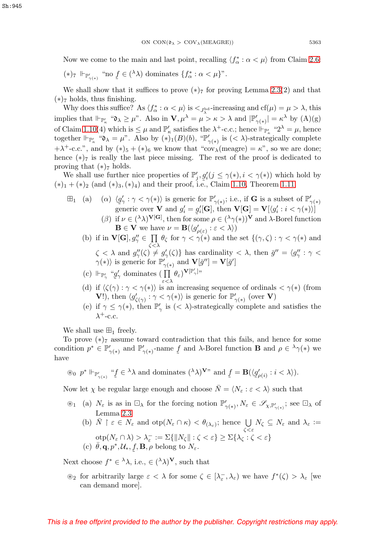Now we come to the main and last point, recalling  $\langle f^*_{\alpha} : \alpha < \mu \rangle$  from Claim [2.6:](#page-9-0)

$$
(*)_7 \Vdash_{\mathbb{P}'_{\gamma(*)}} \text{``no } f \in (\lambda) \text{ dominates } \{f^*_{\alpha} : \alpha < \mu\}.
$$

We shall show that it suffices to prove  $(*)$  for proving Lemma [2.3\(](#page-6-0)2) and that  $(*)_7$  holds, thus finishing.

Why does this suffice? As  $\langle f^*_{\alpha} : \alpha < \mu \rangle$  is  $\langle f^*_{\lambda}$ -increasing and  $cf(\mu) = \mu > \lambda$ , this implies that  $\Vdash_{\mathbb{P}'_{\kappa}}$  " $\mathfrak{d}_{\lambda} \geq \mu$ ". Also in  $\mathbf{V}, \mu^{\lambda} = \mu > \kappa > \lambda$  and  $|\mathbb{P}'_{\gamma(\ast)}| = \kappa^{\lambda}$  by  $(A)(g)$ of Claim [1.10\(](#page-4-2)4) which is  $\leq \mu$  and  $\mathbb{P}'_{\kappa}$  satisfies the  $\lambda^+$ -c.c.; hence  $\Vdash_{\mathbb{P}'_{\kappa}}$  "2<sup> $\lambda = \mu$ </sup>, hence together  $\Vdash_{\mathbb{P}_\kappa'}$  " $\mathfrak{d}_\lambda = \mu$ ". Also by  $(*)_1(B)(b)$ , " $\mathbb{P}'_{\gamma(*)}$  is  $( $\lambda$ )-strategically complete$  $+\lambda^+$ -c.c.", and by  $(*)_5 + (*)_6$  we know that "cov<sub> $\lambda$ </sub>(meagre) =  $\kappa$ ", so we are done; hence  $(*)_7$  is really the last piece missing. The rest of the proof is dedicated to proving that  $(*)_7$  holds.

We shall use further nice properties of  $\mathbb{P}'_j$ ,  $g'_i(j \leq \gamma(*)$ ,  $i < \gamma(*)$ ) which hold by  $(*)_1 + (*)_2$  (and  $(*)_3, (*)_4$ ) and their proof, i.e., Claim [1.10,](#page-4-2) Theorem [1.11.](#page-5-0)

$$
\mathbb{H}_1 \quad \text{(a)} \quad (\alpha) \ \langle g'_{\gamma} : \gamma < \gamma(*) \rangle \text{ is generic for } \mathbb{P}'_{\gamma(*)}; \text{ i.e., if } \mathbf{G} \text{ is a subset of } \mathbb{P}'_{\gamma(*)}
$$
\n
$$
\text{generic over } \mathbf{V} \text{ and } g'_i = g'_i[\mathbf{G}], \text{ then } \mathbf{V}[\mathbf{G}] = \mathbf{V}[\langle g'_i : i < \gamma(*) \rangle]
$$
\n
$$
\text{(b) if } \mu \in (\lambda) \setminus \mathbf{V}[\mathbf{G}] \text{ then for some } \rho \in (\lambda \gamma(*)) \mathbf{V} \text{ and } \lambda \text{-Borel function}
$$

- (β) if  $\nu \in (\lambda \lambda)^{V[G]}$ , then for some  $\rho \in (\lambda \gamma(*))^{V}$  and  $\lambda$ -Borel function **B**  $\in$  **V** we have  $\nu = \mathbf{B}(\langle g'_{\rho(\varepsilon)} : \varepsilon \langle \lambda \rangle)$
- (b) if in  $\mathbf{V}[\mathbf{G}], g''_{\gamma} \in \prod_{\zeta < \lambda} \theta_{\zeta}$  for  $\gamma < \gamma(*)$  and the set  $\{(\gamma, \zeta) : \gamma < \gamma(*)$  and  $\zeta < \lambda$  and  $g''_{\gamma}(\zeta) \neq g'_{\gamma}(\zeta)$  has cardinality  $< \lambda$ , then  $\bar{g}'' = \langle g''_{\gamma} : \gamma$  $\gamma(*)$  is generic for  $\mathbb{P}'_{\gamma(*)}$  and  $\mathbf{V}[\bar{g}''] = \mathbf{V}[\bar{g}']$

(c) 
$$
\Vdash_{\mathbb{P}'_\gamma}
$$
 "g'<sub>γ</sub> dominates  $\left(\prod_{\varepsilon<\lambda}\theta_{\varepsilon}\right)^{\mathbf{V}[\mathbb{P}'_\gamma],\gamma}$ 

- $\tilde{\zeta}$ (d) if  $\langle \zeta(\gamma) : \gamma < \gamma(*) \rangle$  is an increasing sequence of ordinals  $\langle \gamma(*) \rangle$  (from **V**!), then  $\langle g'_{\zeta(\gamma)} : \gamma < \gamma(*) \rangle$  is generic for  $\mathbb{P}'_{\gamma(*)}$  (over **V**)
- (e) if  $\gamma \leq \gamma(*)$ , then  $\mathbb{P}'_{\gamma}$  is  $( $\lambda$ )-strategically complete and satisfies the$  $\lambda^+$ -c.c.

We shall use  $\boxplus_1$  freely.

To prove  $(*)$ <sub>7</sub> assume toward contradiction that this fails, and hence for some condition  $p^* \in \mathbb{P}'_{\gamma(*)}$  and  $\mathbb{P}'_{\gamma(*)}$ -name  $f$  and  $\lambda$ -Borel function **B** and  $\rho \in {}^{\lambda}\gamma(*)$  we have

$$
\circledast_0 p^* \Vdash_{\mathbb{P}'_{\gamma(*)}} \text{``$\underline{f} \in {}^\lambda \lambda$ and dominates $(^\lambda \lambda)^{\mathbf{V}}$'' and $\underline{f} = \mathbf{B}(\langle g'_{\rho(i)} : i < \lambda \rangle)$.}
$$

Now let  $\chi$  be regular large enough and choose  $\overline{N} = \langle N_{\varepsilon} : \varepsilon < \lambda \rangle$  such that

- $\mathscr{F}_1$  (a)  $N_{\varepsilon}$  is as in  $\Box_{\lambda}$  for the forcing notion  $\mathbb{P}'_{\gamma(*)}, N_{\varepsilon} \in \mathscr{S}_{\chi, \mathbb{P}'_{\gamma(*)}}$ ; see  $\Box_{\lambda}$  of Lemma [2.3](#page-6-0)
	- (b)  $\bar{N} \restriction \varepsilon \in N_{\varepsilon}$  and  $otp(N_{\varepsilon} \cap \kappa) < \theta_{(\lambda_{\varepsilon})}$ ; hence  $\bigcup$  $\bigcup_{\zeta<\varepsilon}N_{\zeta}\subseteq N_{\varepsilon}$  and  $\lambda_{\varepsilon}:=$  $\mathrm{otp}(N_{\varepsilon}\cap\lambda)>\lambda_{\varepsilon}^{-}:=\Sigma\{\|N_{\zeta}\|:\zeta<\varepsilon\}\geq\Sigma\{\lambda_{\zeta}:\zeta<\varepsilon\}$ (c)  $\bar{\theta}, \mathbf{q}, p^*, \mathcal{U}_*, f, \mathbf{B}, \rho$  belong to  $N_{\varepsilon}$ .

˜ Next choose  $f^* \in {}^{\lambda}\lambda$ , i.e.,  $\in ({}^{\lambda}\lambda)^{\mathbf{V}}$ , such that

 $\ell_2$  for arbitrarily large  $\varepsilon < \lambda$  for some  $\zeta \in [\lambda_{\varepsilon}^-, \lambda_{\varepsilon})$  we have  $f^*(\zeta) > \lambda_{\varepsilon}$  [we can demand more].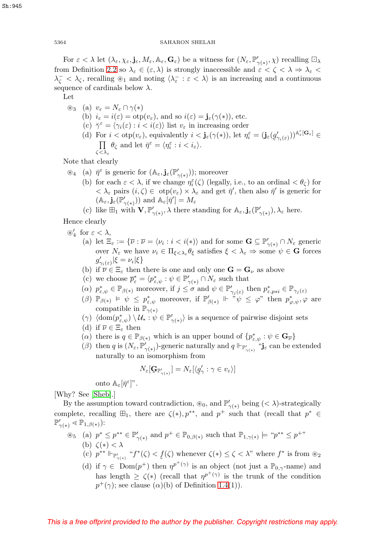For  $\varepsilon < \lambda$  let  $(\lambda_{\varepsilon}, \chi_{\varepsilon}, \mathbf{j}_{\varepsilon}, M_{\varepsilon}, \mathbb{A}_{\varepsilon}, \mathbf{G}_{\varepsilon})$  be a witness for  $(N_{\varepsilon}, \mathbb{P}'_{\gamma(*)}, \chi)$  recalling  $\square_{\lambda}$ from Definition [2.2](#page-6-1) so  $\lambda_{\varepsilon} \in (\varepsilon, \lambda)$  is strongly inaccessible and  $\varepsilon < \zeta < \lambda \Rightarrow \lambda_{\varepsilon} <$  $\lambda_{\zeta}^- < \lambda_{\zeta}$ , recalling  $\otimes_1$  and noting  $\langle \lambda_{\varepsilon}^- : \varepsilon < \lambda \rangle$  is an increasing and a continuous sequence of cardinals below  $\lambda$ .

Let

 $\circledast_3$  (a)  $v_{\varepsilon} = N_{\varepsilon} \cap \gamma(*)$ (b)  $i_{\varepsilon} = i(\varepsilon) = \text{otp}(v_{\varepsilon})$ , and so  $i(\varepsilon) = \mathbf{j}_{\varepsilon}(\gamma(*))$ , etc. (c)  $\bar{\gamma}^{\varepsilon} = \langle \gamma_i(\varepsilon) : i \langle \varepsilon \rangle \rangle$  list  $v_{\varepsilon}$  in increasing order (d) For  $i < \text{otp}(v_{\varepsilon})$ , equivalently  $i < \mathbf{j}_{\varepsilon}(\gamma(*))$ , let  $\eta_i^{\varepsilon} = (\mathbf{j}_{\varepsilon}(g_{\varepsilon}))$ <br>  $\Box$   $\theta_{\varepsilon}$  and let  $\bar{\eta}^{\varepsilon} = \langle n_{\varepsilon}^{\varepsilon} : i < i \rangle$  $(g_{\gamma_i(\varepsilon)}')^{\mathbb{A}'_\varepsilon[\mathbf{G}_\varepsilon]}\in$ П  $\zeta \! < \! \lambda_{\varepsilon}$  $\theta_{\zeta}$  and let  $\bar{\eta}^{\varepsilon} = \langle \eta_i^{\varepsilon} : i < i_{\varepsilon} \rangle$ .

Note that clearly

- $\mathscr{F}_4$  (a)  $\bar{\eta}^{\varepsilon}$  is generic for  $(\mathbb{A}_{\varepsilon}, \mathbf{j}_{\varepsilon}(\mathbb{P}'_{\gamma(*)}))$ ; moreover
	- (b) for each  $\varepsilon < \lambda$ , if we change  $\eta_i^{\varepsilon}(\zeta)$  (legally, i.e., to an ordinal  $\langle \theta_{\zeta} \rangle$  for  $<\lambda_{\varepsilon}$  pairs  $(i,\zeta) \in \text{otp}(v_{\varepsilon}) \times \lambda_{\varepsilon}$  and get  $\bar{\eta}'$ , then also  $\bar{\eta}'$  is generic for  $(\mathbb{A}_{\varepsilon}, \mathbf{j}_{\varepsilon}(\mathbb{P}_{\gamma(*)}'))$  and  $\mathbb{A}_{\varepsilon}[\bar{\eta}'] = M_{\varepsilon}$
	- (c) like  $\mathbb{H}_1$  with  $\mathbf{V}, \mathbb{P}'_{\gamma(*)}, \lambda$  there standing for  $\mathbb{A}_{\varepsilon}, \mathbf{j}_{\varepsilon}(\mathbb{P}'_{\gamma(*)}), \lambda_{\varepsilon}$  here.

Hence clearly

- $\circledast'_4$  for  $\varepsilon < \lambda$ ,
	- (a) let  $\Xi_{\varepsilon} := {\overline{\nu} : \overline{\nu} = \langle \nu_i : i \langle * \rangle \rangle}$  and for some  $\mathbf{G} \subseteq \mathbb{P}'_{\gamma(*)} \cap N_{\varepsilon}$  generic over  $N_{\varepsilon}$  we have  $\nu_i \in \Pi_{\xi < \lambda_{\varepsilon}} \theta_{\xi}$  satisfies  $\xi < \lambda_{\varepsilon} \Rightarrow$  some  $\psi \in \mathbf{G}$  forces  $g'_{\gamma_i(\varepsilon)}|\xi = \nu_i|\xi$
	- (b) if  $\overline{\nu} \in \Xi_{\varepsilon}$  then there is one and only one  $\mathbf{G} = \mathbf{G}_{\nu}$  as above
	- (c) we choose  $\overline{p}^*_\varepsilon = \langle p^*_{\varepsilon,\psi} : \psi \in \mathbb{P}'_{\gamma(*)} \cap N_\varepsilon$  such that
	- (a)  $p^*_{\varepsilon,\psi} \in \mathbb{P}_{\beta(*)}$  moreover, if  $j \leq \sigma$  and  $\psi \in \mathbb{P}'_{\gamma_j(\varepsilon)}$  then  $p^*_{\varepsilon,psi} \in \mathbb{P}_{\gamma_j(\varepsilon)}$
	- $(\beta)$   $\mathbb{P}_{\beta(*)} \models \psi \leq p^*_{\varepsilon,\psi}$  moreover, if  $\mathbb{P}'_{\beta(*)} \Vdash \neg \psi \leq \varphi$ " then  $p^*_{\varphi,\psi}, \varphi$  are compatible in  $\mathbb{P}_{\gamma(*)}$
	- $(\gamma) \langle \text{dom}(p^*_{\varepsilon,\psi}) \setminus \mathcal{U}_* : \psi \in \mathbb{P}'_{\gamma(*)}\rangle$  is a sequence of pairwise disjoint sets
	- (d) if  $\overline{\nu} \in \Xi_{\varepsilon}$  then
	- (a) there is  $q \in \mathbb{P}_{\beta(*)}$  which is an upper bound of  $\{p^*_{\varepsilon,\psi}: \psi \in \mathbf{G}_{\overline{\nu}}\}$
	- (*β*) then *q* is  $(N_\varepsilon, \mathbb{P}'_{\gamma(*)})$ -generic naturally and *q*  $\Vdash_{\mathbb{P}'_{\gamma(*)}}$  "**j**<sub> $\varepsilon$ </sub> can be extended naturally to an isomorphism from

$$
N_{\varepsilon}[\mathbf{G}_{\mathbb{P}_{\gamma(\ast)}'}] = N_{\varepsilon}[\langle \underline{g}_{\gamma}': \gamma \in v_{\varepsilon} \rangle]
$$

onto  $\mathbb{A}_{\varepsilon}[\bar{\eta}^{\varepsilon}]$ ".

[Why? See [\[Sheb\]](#page-18-5).]

By the assumption toward contradiction,  $\circledast_0$ , and  $\mathbb{P}'_{\gamma(*)}$  being  $( $\lambda$ )-strategically$ complete, recalling  $\boxplus_1$ , there are  $\zeta(*)$ ,  $p^{**}$ , and  $p^+$  such that (recall that  $p^* \in$  $\mathbb{P}'_{\gamma(*)} \leq \mathbb{P}_{1,\beta(*)}$ :

- $\mathcal{L}_{5}$  (a)  $p^* \leq p^{**} \in \mathbb{P}'_{\gamma(*)}$  and  $p^+ \in \mathbb{P}_{0,\beta(*)}$  such that  $\mathbb{P}_{1,\gamma(*)} \models ``p^{**} \leq p^{+}$ " (b)  $\zeta(*) < \lambda$ 
	- $(c)$   $p^{**}$   $\Vdash_{\mathbb{P}'_2}$  $\zeta_{\gamma(*)}$  " $f^*(\zeta) < f(\zeta)$  whenever  $\zeta(*) \leq \zeta < \lambda$ " where  $f^*$  is from  $\otimes_2$ (d) if  $\gamma \in \text{Dom}(p^+)$  then  $\eta^{p^+(\gamma)}$  is an object (not just a  $\mathbb{P}_{0,\gamma}$ -name) and
	- has length  $\geq \zeta(*)$  (recall that  $\eta^{p^+(\gamma)}$  is the trunk of the condition  $p^{+}(\gamma)$ ; see clause  $(\alpha)$ (b) of Definition [1.4\(](#page-3-0)1)).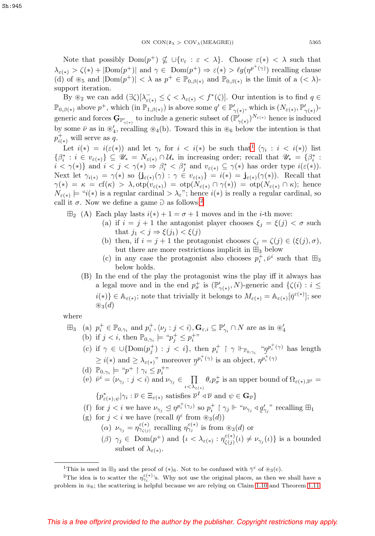Note that possibly  $Dom(p^+) \nsubseteq \bigcup \{v_\varepsilon : \varepsilon < \lambda\}.$  Choose  $\varepsilon(*) < \lambda$  such that  $\lambda_{\varepsilon(*)} > \zeta(*) + |\text{Dom}(p^+)|$  and  $\gamma \in \text{Dom}(p^+) \Rightarrow \varepsilon(*) > \ell g(p^{p^+(\gamma)})$  recalling clause (d) of  $\mathfrak{G}_5$  and  $|{\rm Dom}(p^+)| < \lambda$  as  $p^+ \in \mathbb{P}_{0,\beta(*)}$  and  $\mathbb{P}_{0,\beta(*)}$  is the limit of a  $(< \lambda)$ support iteration.

By  $\mathscr{L}_2$  we can add  $(\exists \zeta)[\lambda_{\varepsilon(*)}^-] \leq \zeta < \lambda_{\varepsilon(*)} < f^*(\zeta)]$ . Our intention is to find  $q \in$  $\mathbb{P}_{0,\beta(*)}$  above  $p^+$ , which  $(\text{in } \mathbb{P}_{1,\beta(*)})$  is above some  $q' \in \mathbb{P}'_{\gamma(*)}$ , which is  $(N_{\varepsilon(*)}, \mathbb{P}'_{\gamma(*)})$ generic and forces  $\mathbf{G}_{\mathbb{P}'_{\gamma(*)}}$  to include a generic subset of  $(\mathbb{P}'_{\gamma(*)})^{N_{\varepsilon(*)}}$  hence is induced by some  $\bar{\nu}$  as in  $\mathcal{L}_4$ , recalling  $\mathcal{L}_4(b)$ . Toward this in  $\mathcal{L}_6$  below the intention is that  $p_{i(*)}^+$  will serve as q.

Let  $i(*) = i(\varepsilon(*))$  and let  $\gamma_i$  for  $i < i(*)$  be such that  $\gamma_i : i < i(*)$  list  $\{\beta_i^*: i \in v_{\varepsilon(*)}\}\subseteq \mathscr{U}_* = N_{\varepsilon(*)} \cap \mathcal{U}_*$  in increasing order; recall that  $\mathscr{U}_* = \{\beta_i^*: i \in v_{\varepsilon(*)}\}\subseteq \mathscr{U}_*$  $i < \gamma(*)$  and  $i < j < \gamma(*) \Rightarrow \beta_i^* < \beta_j^*$  and  $v_{\varepsilon(*)} \subseteq \gamma(*)$  has order type  $i(\varepsilon(*))$ . Next let  $\gamma_{i(*)} = \gamma(*)$  so  $\{\mathbf{j}_{\varepsilon(*)}(\gamma) : \gamma \in v_{\varepsilon(*)}\} = i(*) = \mathbf{j}_{\varepsilon(*)}(\gamma(*)).$  Recall that  $\gamma(*) = \kappa = \text{cf}(\kappa) > \lambda, \text{otp}(v_{\varepsilon(*)}) = \text{otp}(N_{\varepsilon(*)} \cap \gamma(*) ) = \text{otp}(N_{\varepsilon(*)} \cap \kappa);$  hence  $N_{\varepsilon(*)}$  = " $i(*)$  is a regular cardinal >  $\lambda_{\varepsilon}$ "; hence  $i(*)$  is really a regular cardinal, so call it  $\sigma$ . Now we define a game  $\partial$  as follows:<sup>[2](#page-14-1)</sup>

- $\mathbb{H}_{2}$  (A) Each play lasts  $i(*) + 1 = \sigma + 1$  moves and in the *i*-th move:
	- (a) if  $i = j + 1$  the antagonist player chooses  $\xi_i = \xi(j) < \sigma$  such that  $j_1 < j \Rightarrow \xi(j_1) < \xi(j)$
	- (b) then, if  $i = j + 1$  the protagonist chooses  $\zeta_i = \zeta(j) \in (\xi(j), \sigma)$ , but there are more restrictions implicit in  $\boxplus_3$  below
	- (c) in any case the protagonist also chooses  $p_i^+, \bar{\nu}^i$  such that  $\boxplus_3$ below holds.
	- (B) In the end of the play the protagonist wins the play iff it always has a legal move and in the end  $p_{\sigma}^+$  is  $(\mathbb{P}'_{\gamma(*)}, N)$ -generic and  $\{\zeta(i): i \leq$  $i(*)\}\in \mathbb{A}_{\varepsilon(*)}$ ; note that trivially it belongs to  $M_{\varepsilon(*)}=\mathbb{A}_{\varepsilon(*)}[\bar{\eta}^{\varepsilon(*)}]$ ; see  $\otimes_3(d)$

where

\n- $$
\boxplus_3
$$
 (a)  $p_i^+ \in \mathbb{P}_{0,\gamma_i}$  and  $p_i^+, \langle \nu_j : j < i \rangle$ ,  $\mathbf{G}_{\varepsilon,i} \subseteq \mathbb{P}'_{\gamma_i} \cap N$  are as in  $\mathcal{D}'_4$
\n- (b) if  $j < i$ , then  $\mathbb{P}_{0,\gamma_i} \models \text{``} p_j^+ \leq p_i^+$ ''
\n- (c) if  $\gamma \in \bigcup \{\text{Dom}(p_j^+) : j < i\}$ , then  $p_i^+ \upharpoonright \gamma \Vdash_{\mathbb{P}_{0,\gamma_i}} \text{``} \eta^{p_i^+ (\gamma)}$  has length  $\geq i(*)$  and  $\geq \lambda_{\varepsilon(*)}$ '' moreover  $\eta^{p_i^+ (\gamma)}$  is an object,  $\eta^{p_i^+ (\gamma)}$
\n- (d)  $\mathbb{P}_{0,\gamma_i} \models \text{``} p^+ \upharpoonright \gamma_i \leq p_i^+$ ''
\n- (e)  $\bar{\nu}^i = \langle \nu_{\gamma_j} : j < i \rangle$  and  $\nu_{\gamma_j} \in \prod_{\iota < \lambda_{\varepsilon(*)}} \theta_\iota p_\sigma^+$  is an upper bound of  $\Omega_{\varepsilon(*),\overline{\nu}^i} = \{p_{\varepsilon(*),\psi}^* | \gamma_i : \overline{\nu} \in \Xi_{\varepsilon(*)}$  satisfies  $\overline{\nu}^I \triangleleft \overline{\nu}$  and  $\psi \in \mathbf{G}_{\overline{\nu}}\}$
\n- (f) for  $j < i$  we have  $\nu_{\gamma_j} \triangleleft \eta^{p_i^+ (\gamma_j)}$  so  $p_i^+ \upharpoonright \gamma_j \Vdash \text{``} \nu_{\gamma_j} \triangleleft \underline{q}'_{\gamma_j}$  recalling  $\boxplus_1$
\n- (g) for  $i < i$  we have (recall  $\overline{p}^{\varepsilon}$

- (g) for  $j < i$  we have (recall  $\bar{\eta}^{\epsilon}$  from  $\mathcal{B}_3(d)$ )
	- (a)  $\nu_{\gamma_j} = \eta_{\gamma_{\zeta(j)}}^{\varepsilon(*)}$  recalling  $\eta_{\gamma_j}^{\varepsilon(*)}$  is from  $\otimes_3(d)$  or
	- $(\beta)$   $\gamma_j \in \text{Dom}(p^+)$  and  $\{ \iota < \lambda_{\varepsilon(*)} : \eta_{\zeta(j)}^{\varepsilon(*)}(\iota) \neq \nu_{\gamma_j}(\iota) \}$  is a bounded subset of  $\lambda_{\varepsilon(*)}$ .

<span id="page-14-0"></span><sup>&</sup>lt;sup>1</sup>This is used in  $\boxplus_3$  and the proof of  $(*)_6$ . Not to be confused with  $\bar{\gamma}^{\epsilon}$  of  $\circledast_3(c)$ .

<span id="page-14-1"></span><sup>&</sup>lt;sup>2</sup>The idea is to scatter the  $\eta_{\gamma_i}^{(\epsilon)}$ 's. Why not use the original places, as then we shall have a problem in  $\mathcal{E}_6$ ; the scattering is helpful because we are relying on Claim [1.10](#page-4-2) and Theorem [1.11.](#page-5-0)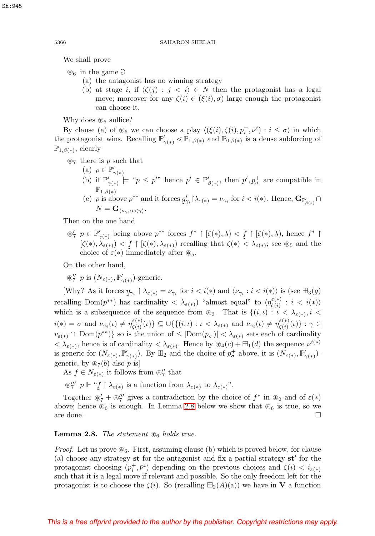We shall prove

 $\otimes_6$  in the game  $\partial$ 

- (a) the antagonist has no winning strategy
- (b) at stage i, if  $\langle \zeta(j) : j \langle i \rangle \in N$  then the protagonist has a legal move; moreover for any  $\zeta(i) \in (\xi(i), \sigma)$  large enough the protagonist can choose it.

Why does  $\mathcal{B}_6$  suffice?

By clause (a) of  $\mathcal{B}_6$  we can choose a play  $\langle (\xi(i), \zeta(i), p_i^+, \bar{\nu}^i) : i \leq \sigma \rangle$  in which the protagonist wins. Recalling  $\mathbb{P}'_{\gamma(*)} \leq \mathbb{P}_{1,\beta(*)}$  and  $\mathbb{P}_{0,\beta(*)}$  is a dense subforcing of  $\mathbb{P}_{1,\beta(*)}$ , clearly

 $\otimes_7$  there is p such that

- (a)  $p \in \mathbb{P}'_{\gamma(*)}$
- (b) if  $\mathbb{P}'_{\gamma(*)} \models "p \leq p''$  hence  $p' \in \mathbb{P}'_{\beta(*)}$ , then  $p', p^+_{\sigma}$  are compatible in  $\mathbb{P}_{1,\beta(s)}$
- (c) p is above  $p^{**}$  and it forces  $g'_{\gamma_i} \upharpoonright \lambda_{\varepsilon(*)} = \nu_{\gamma_i}$  for  $i < i(*)$ . Hence,  $\mathbf{G}_{\mathbb{P}^{\prime}_{\beta(*)}} \cap$ <br> $N = \mathbf{G}^{\prime}$  $N = \mathbf{G}_{\langle \nu_{\gamma_i} : i < \gamma \rangle}.$

Then on the one hand

 $\mathcal{F}_7$   $p \in \mathbb{P}'_{\gamma(*)}$  being above  $p^{**}$  forces  $f^* \upharpoonright [\zeta(*), \lambda) < f \upharpoonright [\zeta(*), \lambda)$ , hence  $f^* \upharpoonright [\zeta(*), \lambda) < f \upharpoonright [\zeta(*), \lambda)$  recalling that  $\zeta(*) < \lambda \leftrightarrow \text{see } \mathbb{R}$  and the  $[\zeta(*), \lambda_{\varepsilon(*)}) < f \upharpoonright [\zeta(*), \lambda_{\varepsilon(*)})$  recalling that  $\zeta(*) < \lambda_{\varepsilon(*)}$ ; see  $\otimes_5$  and the choice of  $\varepsilon(*)$  immediately after  $\otimes_{\varepsilon}$ . choice of  $\varepsilon(*)$  immediately after  $\mathcal{L}_5$ .

On the other hand,

 $\otimes''_7$  p is  $(N_{\varepsilon(*)}, \mathbb{P}'_{\gamma(*)})$ -generic.

[Why? As it forces  $\eta_{\gamma_i} \restriction \lambda_{\varepsilon(*)} = \nu_{\gamma_i}$  for  $i < i(*)$  and  $\langle \nu_{\gamma_i} : i < i(*) \rangle$  is (see  $\boxplus_3(g)$ ) recalling  $Dom(p^{**})$  has cardinality  $\langle \lambda_{\varepsilon(*)}\rangle$  "almost equal" to  $\langle \eta_{\zeta(i)}^{\varepsilon(*)}: i \langle i \rangle \rangle$ which is a subsequence of the sequence from  $\otimes_3$ . That is  $\{(i,\iota): \iota < \lambda_{\varepsilon(*)}, i < \iota\}$  $i(*) = \sigma$  and  $\nu_{\gamma_i}(\iota) \neq \eta_{\zeta(i)}^{\varepsilon(*)}(\iota) \} \subseteq \bigcup \{ \{(i,\iota): \iota < \lambda_{\varepsilon(*)} \text{ and } \nu_{\gamma_i}(\iota) \neq \eta_{\zeta(i)}^{\varepsilon(*)}(\iota) \} : \gamma \in$  $v_{\varepsilon(*)} \cap \text{Dom}(p^{**})\}$  so is the union of  $\leq |\text{Dom}(p^+_{\sigma})| < \lambda_{\varepsilon(*)}$  sets each of cardinality  $<\lambda_{\varepsilon(*)}$ , hence is of cardinality  $<\lambda_{\varepsilon(*)}$ . Hence by  $\mathcal{D}_4(c) + \mathcal{H}_1(d)$  the sequence  $\overline{\nu}^{i(*)}$ is generic for  $(N_{\varepsilon(*)}, \mathbb{P}'_{\gamma(*)})$ . By  $\boxplus_2$  and the choice of  $p^+_{\sigma}$  above, it is  $(N_{\varepsilon(*)}, \mathbb{P}'_{\gamma(*)})$ generic, by  $\mathcal{D}_7(b)$  also p is

As  $f \in N_{\varepsilon(*)}$  it follows from  $\mathcal{D}'_7$  that

 $\otimes''''_7$  p  $\Vdash$  " $\underline{f} \upharpoonright \lambda_{\varepsilon(*)}$  is a function from  $\lambda_{\varepsilon(*)}$  to  $\lambda_{\varepsilon(*)}$ ".

Together  $\mathscr{E}'_7 + \mathscr{E}''_7$  gives a contradiction by the choice of  $f^*$  in  $\mathscr{E}_2$  and of  $\varepsilon(*)$ above; hence  $\mathcal{B}_6$  is enough. In Lemma [2.8](#page-15-0) below we show that  $\mathcal{B}_6$  is true, so we are done.  $\Box$ 

# <span id="page-15-0"></span>**Lemma 2.8.** The statement  $\mathcal{B}_6$  holds true.

*Proof.* Let us prove  $\mathcal{B}_6$ . First, assuming clause (b) which is proved below, for clause (a) choose any strategy **st** for the antagonist and fix a partial strategy **st** for the protagonist choosing  $(p_i^+, \bar{\nu}^i)$  depending on the previous choices and  $\zeta(i) < i_{\varepsilon(*)}$ such that it is a legal move if relevant and possible. So the only freedom left for the protagonist is to choose the  $\zeta(i)$ . So (recalling  $\boxplus_2(A)(a)$ ) we have in **V** a function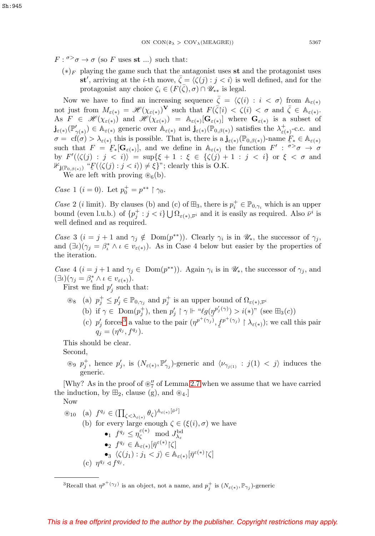- $F: \sigma > \sigma \to \sigma$  (so F uses st ...) such that:
	- $(*)$ <sub>F</sub> playing the game such that the antagonist uses st and the protagonist uses **st**<sup>*'*</sup>, arriving at the *i*-th move,  $\bar{\zeta} = \langle \bar{\zeta}(j) : j < i \rangle$  is well defined, and for the protagonist any choice  $\zeta_i \in (F(\bar{\zeta}), \sigma) \cap \mathscr{U}_{**}$  is legal.

Now we have to find an increasing sequence  $\bar{\zeta} = \langle \zeta(i) : i \langle \sigma \rangle \rangle$  from  $\mathbb{A}_{\varepsilon(*)}$ not just from  $M_{\varepsilon(*)} = \mathscr{H}(\chi_{\varepsilon(*)})^{\mathbf{V}}$  such that  $F(\bar{\zeta}[i)] < \zeta(i) < \sigma$  and  $\bar{\zeta} \in \mathbb{A}_{\varepsilon(*)}$ . As  $F \in \mathscr{H}(\chi_{\varepsilon(*)})$  and  $\mathscr{H}(\chi_{\varepsilon(*)}) = \mathbb{A}_{\varepsilon(*)}[\mathbf{G}_{\varepsilon(*)}]$  where  $\mathbf{G}_{\varepsilon(*)}$  is a subset of  $\mathbf{j}_{\varepsilon(*)}(\mathbb{P}_{\gamma(*)}') \in \mathbb{A}_{\varepsilon(*)}$  generic over  $\mathbb{A}_{\varepsilon(*)}$  and  $\mathbf{j}_{\varepsilon(*)}(\mathbb{P}_{0,\beta(*)})$  satisfies the  $\lambda^+_{\varepsilon(*)}$ -c.c. and  $\sigma = \text{cf}(\sigma) > \lambda_{\varepsilon(*)}$  this is possible. That is, there is a  $\mathbf{j}_{\varepsilon(*)}(\mathbb{P}_{0,\beta(*)})$ -name  $F_* \in \mathbb{A}_{\varepsilon(*)}$ <br>such that  $F = F[\mathbf{G}]$ , and we define in  $\mathbb{A}_{\varepsilon(*)}$  the function  $F' \cdot \sigma > \sigma \to \sigma$ such that  $F = F_*[\mathbf{G}_{\varepsilon(*)}]$ , and we define in  $\mathbb{A}_{\varepsilon(*)}$  the function  $F' : \sigma > \sigma \to \sigma$ <br>by  $F'(\ell(\varepsilon)) = \varepsilon > \varepsilon$ ,  $\ell(\varepsilon) = \varepsilon > \varepsilon$ ,  $\ell(\varepsilon) = 1 + \varepsilon \to \varepsilon$ ,  $\sigma > 0$ by  $F'(\langle \zeta(j) : j < i \rangle) = \sup \{ \xi +1 : \xi \in \{ \zeta(j) +1 : j < i \} \text{ or } \xi < \sigma \text{ and }$  $\mathbb{1}_{\mathbf{j}(\mathbb{P}_{0,\beta(*)})}$  " $\mathcal{F}(\langle \zeta(j) : j < i \rangle) \neq \xi$  "; clearly this is O.K.

We are left with proving  $\mathcal{B}_6(b)$ .

*Case* 1 (*i* = 0). Let  $p_0^+ = p^{**} \restriction \gamma_0$ .

Case 2 (*i* limit). By clauses (b) and (c) of  $\mathbb{H}_3$ , there is  $p_i^+ \in \mathbb{P}_{0,\gamma_i}$  which is an upper bound (even l.u.b.) of  $\{p_j^+ : j < i\} \bigcup \Omega_{\varepsilon(\ast),\overline{\nu}^i}$  and it is easily as required. Also  $\overline{\nu}^i$  is well defined and as required.

Case 3 ( $i = j + 1$  and  $\gamma_j \notin \text{Dom}(p^{**})$ ). Clearly  $\gamma_i$  is in  $\mathscr{U}_*,$  the successor of  $\gamma_j$ , and  $(\exists \iota)(\gamma_j = \beta_i^* \land \iota \in v_{\varepsilon(*)})$ . As in Case 4 below but easier by the properties of the iteration.

Case 4 ( $i = j + 1$  and  $\gamma_j \in \text{Dom}(p^{**})$ ). Again  $\gamma_i$  is in  $\mathscr{U}_*$ , the successor of  $\gamma_j$ , and  $(\exists \iota)(\gamma_j = \beta_\iota^* \land \iota \in v_{\varepsilon(*)}).$ 

First we find  $p'_j$  such that:

 $\mathscr{E}_8$  (a)  $p_j^+ \leq p_j' \in \mathbb{P}_{0,\gamma_j}$  and  $p_j^+$  is an upper bound of  $\Omega_{\varepsilon(\ast),\overline{\nu}^i}$ (b) if  $\gamma \in \text{Dom}(p_j^+)$ , then  $p'_j \upharpoonright \gamma \Vdash \text{``}\ell g(p^{p'_j(\gamma)}) > i(*)$ " (see  $\boxplus_3(c)$ ) (c)  $p'_j$  forces<sup>[3](#page-16-0)</sup> a value to the pair  $(\eta^{p^+(\gamma_j)}, f^{q_j})$  $f^{p^+(\gamma_j)} \restriction \lambda_{\varepsilon(*)}$ ; we call this pair  $q_j = (\eta^{q_j}, f^{q_j}).$ 

This should be clear.

Second,

 $\otimes$   $p_j^+$ , hence  $p'_j$ , is  $(N_{\varepsilon(*)}, \mathbb{P}'_{\gamma_j})$ -generic and  $\langle \nu_{\gamma_{j(1)}} : j(1) < j \rangle$  induces the generic.

[Why? As in the proof of  $\mathcal{L}_7'$  of Lemma [2.7](#page-10-0) when we assume that we have carried the induction, by  $\mathbb{H}_2$ , clause (g), and  $\mathscr{B}_4$ .

Now

\n- \n
$$
\mathcal{L}_{10}
$$
\n
	\n- (a)  $f^{q_j} \in \left( \prod_{\zeta < \lambda_{\varepsilon(*)}} \theta_{\zeta} \right)^{\mathbb{A}_{\varepsilon(*)}[\bar{\nu}^j]}$
	\n- (b) for every large enough  $\zeta \in (\xi(i), \sigma)$  we have
	\n- 1  $f^{q_j} \leq \eta_{\zeta}^{\varepsilon(*)} \mod J_{\lambda_{\varepsilon}}^{\lambda_{\varepsilon}}$
	\n- 2  $f^{q_j} \in \mathbb{A}_{\varepsilon(*)}[\bar{\eta}^{\varepsilon(*)}|\zeta]$
	\n- 3  $\langle \zeta(j_1) : j_1 < j \rangle \in \mathbb{A}_{\varepsilon(*)}[\bar{\eta}^{\varepsilon(*)}|\zeta]$
	\n- (c)  $\eta^{q_j} \triangleleft f^{q_j}$ .
	\n\n
\n

<span id="page-16-0"></span><sup>&</sup>lt;sup>3</sup>Recall that  $\eta^{p^+(\gamma_j)}$  is an object, not a name, and  $p^+_j$  is  $(N_{\varepsilon(*)}, \mathbb{P}_{\gamma_j})$ -generic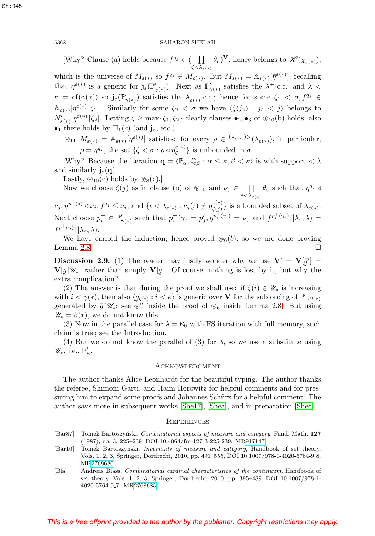[Why? Clause (a) holds because  $f^{q_j} \in (-\prod$  $\zeta<\lambda_{\varepsilon(+)}$  $(\theta_{\zeta})^{\mathbf{V}},$  hence belongs to  $\mathscr{H}(\chi_{\varepsilon(*)}),$ which is the universe of  $M_{\varepsilon(*)}$  so  $f^{q_j} \in M_{\varepsilon(*)}$ . But  $M_{\varepsilon(*)} = \mathbb{A}_{\varepsilon(*)}[\bar{\eta}^{\varepsilon(*)}]$ , recalling that  $\bar{\eta}^{\varepsilon(*)}$  is a generic for  $\mathbf{j}_{\varepsilon}(\mathbb{P}'_{\gamma(*)})$ . Next as  $\mathbb{P}'_{\gamma(*)}$  satisfies the  $\lambda^+$ -c.c. and  $\lambda <$  $\kappa = \text{cf}(\gamma(*))$  so  $\mathbf{j}_{\varepsilon}(\mathbb{P}_{\gamma(*)}')$  satisfies the  $\lambda^+_{\varepsilon(*)}$ -c.c.; hence for some  $\zeta_1 < \sigma, f^{q_j} \in$  $\mathbb{A}_{\varepsilon(*)}[\bar{\eta}^{\varepsilon(*)}|\zeta_1].$  Similarly for some  $\zeta_2 < \sigma$  we have  $\langle \zeta(j_2) : j_2 < j \rangle$  belongs to  $N'_{\varepsilon(*)}[\bar{\eta}^{\varepsilon(*)}|\zeta_2]$ . Letting  $\zeta \ge \max{\{\zeta_1,\zeta_2\}}$  clearly clauses  $\bullet_2, \bullet_3$  of  $\circledast_{10}(b)$  holds; also •<sub>1</sub> there holds by  $\mathbb{H}_1(c)$  (and  $\mathbf{j}_{\varepsilon}$ , etc.).

 $\mathcal{L}_{11}$   $M_{\varepsilon(*)} = \mathbb{A}_{\varepsilon(*)}[\bar{\eta}^{\varepsilon(*)}]$  satisfies: for every  $\rho \in {}^{(\lambda_{\varepsilon(*)})>}(\lambda_{\varepsilon(*)})$ , in particular,  $\rho = \eta^{q_j}$ , the set  $\{\zeta < \sigma : \rho \triangleleft \eta_{\zeta}^{\varepsilon(*)}\}\)$  is unbounded in  $\sigma$ .

[Why? Because the iteration  $\mathbf{q} = \langle \mathbb{P}_{\alpha}, \mathbb{Q}_{\beta} : \alpha \leq \kappa, \beta < \kappa \rangle$  is with support  $\langle \lambda \rangle$ and similarly  $\mathbf{j}_{\varepsilon}(\mathbf{q})$ .

Lastly,  $\mathcal{L}_{10}(c)$  holds by  $\mathcal{L}_{8}(c)$ .

Now we choose  $\zeta(j)$  as in clause (b) of  $\mathcal{L}_{10}$  and  $\nu_j \in \Pi$  $\varepsilon<\lambda_{\varepsilon(+)}$  $\theta_{\varepsilon}$  such that  $\eta^{q_j} \triangleleft$ 

 $\nu_j, \eta^{p^+(j)} \triangleleft \nu_j, f^{q_j} \leq \nu_j$ , and  $\{\iota < \lambda_{\varepsilon(*)} : \nu_j(\iota) \neq \eta_{\zeta(j)}^{\varepsilon(*)}\}\$  is a bounded subset of  $\lambda_{\varepsilon(*)}$ . Next choose  $p_i^+ \in \mathbb{P}'_{\gamma(*)}$  such that  $p_i^+ \upharpoonright_{\gamma_j} = p'_j, \eta^{p_i^+ (\gamma_i)} = \nu_j$  and  $f^{p_i^+ (\gamma_i)} \upharpoonright [\lambda_\varepsilon, \lambda) =$  $f^{p^+(\gamma)}\!\!\restriction\!\! [\lambda_\varepsilon,\lambda).$ 

We have carried the induction, hence proved  $\mathcal{B}_6(b)$ , so we are done proving Lemma [2.8.](#page-15-0)  $\Box$ 

<span id="page-17-3"></span>**Discussion 2.9.** (1) The reader may justly wonder why we use  $V' = V[\bar{g}'] =$  $\mathbf{V}[\bar{g}|\mathscr{U}_*]$  rather than simply  $\mathbf{V}[\bar{g}]$ . Of course, nothing is lost by it, but why the ˜ extra complication? ˜

(2) The answer is that during the proof we shall use: if  $\zeta(i) \in \mathscr{U}_*$  is increasing with  $i < \gamma(*)$ , then also  $\langle g_{\zeta(i)} : i < \kappa \rangle$  is generic over **V** for the subforcing of  $\mathbb{P}_{1,\beta(*)}$ generated by  $\bar{g}$   $\mathscr{U}_*$ ; see  $\tilde{\mathscr{U}}'_7$  inside the proof of  $\mathscr{E}_6$  inside Lemma [2.8.](#page-15-0) But using  $\mathscr{U}_* = \beta(*)$ , we do not know this.  $\mathscr{U}_* = \beta(*),$  we do not know this.

(3) Now in the parallel case for  $\lambda = \aleph_0$  with FS iteration with full memory, such claim is true; see the Introduction.

(4) But we do not know the parallel of (3) for  $\lambda$ , so we use a substitute using  $\mathscr{U}_*,$  i.e.,  $\mathbb{P}'_{\kappa}$ .

#### **ACKNOWLEDGMENT**

The author thanks Alice Leonhardt for the beautiful typing. The author thanks the referee, Shimoni Garti, and Haim Horowitz for helpful comments and for pressuring him to expand some proofs and Johannes Schürz for a helpful comment. The author says more in subsequent works [\[She17\]](#page-18-17), [\[Shea\]](#page-18-18), and in preparation [\[Shec\]](#page-18-19).

### **REFERENCES**

- <span id="page-17-2"></span>[Bar87] Tomek Bartoszyński, Combinatorial aspects of measure and category, Fund. Math. 127 (1987), no. 3, 225–239, DOI 10.4064/fm-127-3-225-239. M[R917147](https://www.ams.org/mathscinet-getitem?mr=917147)
- <span id="page-17-1"></span>[Bar10] Tomek Bartoszynski, Invariants of measure and category, Handbook of set theory. Vols. 1, 2, 3, Springer, Dordrecht, 2010, pp. 491–555, DOI 10.1007/978-1-4020-5764-9 8. M[R2768686](https://www.ams.org/mathscinet-getitem?mr=2768686)
- <span id="page-17-0"></span>[Bla] Andreas Blass, Combinatorial cardinal characteristics of the continuum, Handbook of set theory. Vols. 1, 2, 3, Springer, Dordrecht, 2010, pp. 395–489, DOI 10.1007/978-1- 4020-5764-9 7. M[R2768685](https://www.ams.org/mathscinet-getitem?mr=2768685)